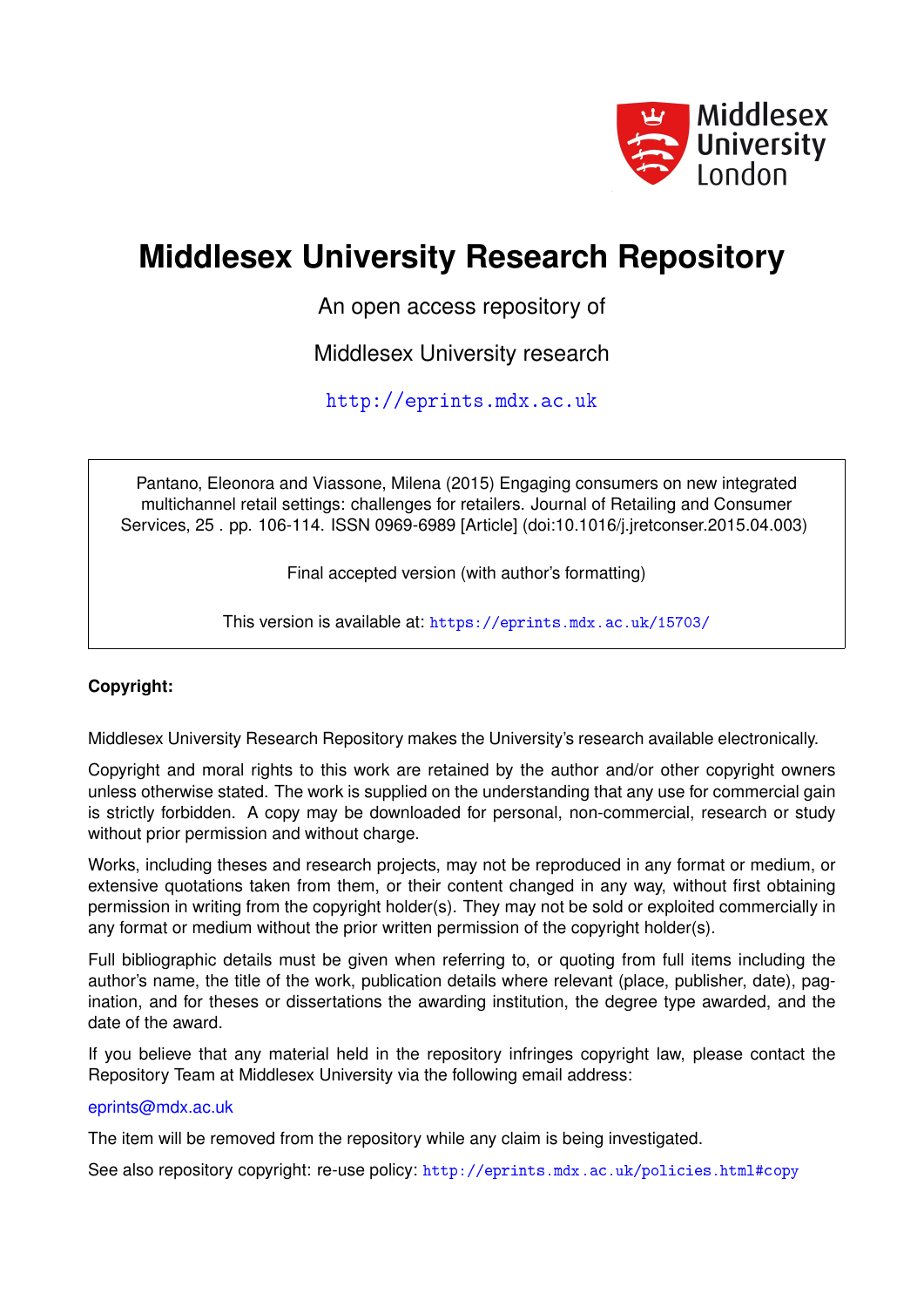

# **Middlesex University Research Repository**

An open access repository of

Middlesex University research

<http://eprints.mdx.ac.uk>

Pantano, Eleonora and Viassone, Milena (2015) Engaging consumers on new integrated multichannel retail settings: challenges for retailers. Journal of Retailing and Consumer Services, 25 . pp. 106-114. ISSN 0969-6989 [Article] (doi:10.1016/j.jretconser.2015.04.003)

Final accepted version (with author's formatting)

This version is available at: <https://eprints.mdx.ac.uk/15703/>

# **Copyright:**

Middlesex University Research Repository makes the University's research available electronically.

Copyright and moral rights to this work are retained by the author and/or other copyright owners unless otherwise stated. The work is supplied on the understanding that any use for commercial gain is strictly forbidden. A copy may be downloaded for personal, non-commercial, research or study without prior permission and without charge.

Works, including theses and research projects, may not be reproduced in any format or medium, or extensive quotations taken from them, or their content changed in any way, without first obtaining permission in writing from the copyright holder(s). They may not be sold or exploited commercially in any format or medium without the prior written permission of the copyright holder(s).

Full bibliographic details must be given when referring to, or quoting from full items including the author's name, the title of the work, publication details where relevant (place, publisher, date), pagination, and for theses or dissertations the awarding institution, the degree type awarded, and the date of the award.

If you believe that any material held in the repository infringes copyright law, please contact the Repository Team at Middlesex University via the following email address:

# [eprints@mdx.ac.uk](mailto:eprints@mdx.ac.uk)

The item will be removed from the repository while any claim is being investigated.

See also repository copyright: re-use policy: <http://eprints.mdx.ac.uk/policies.html#copy>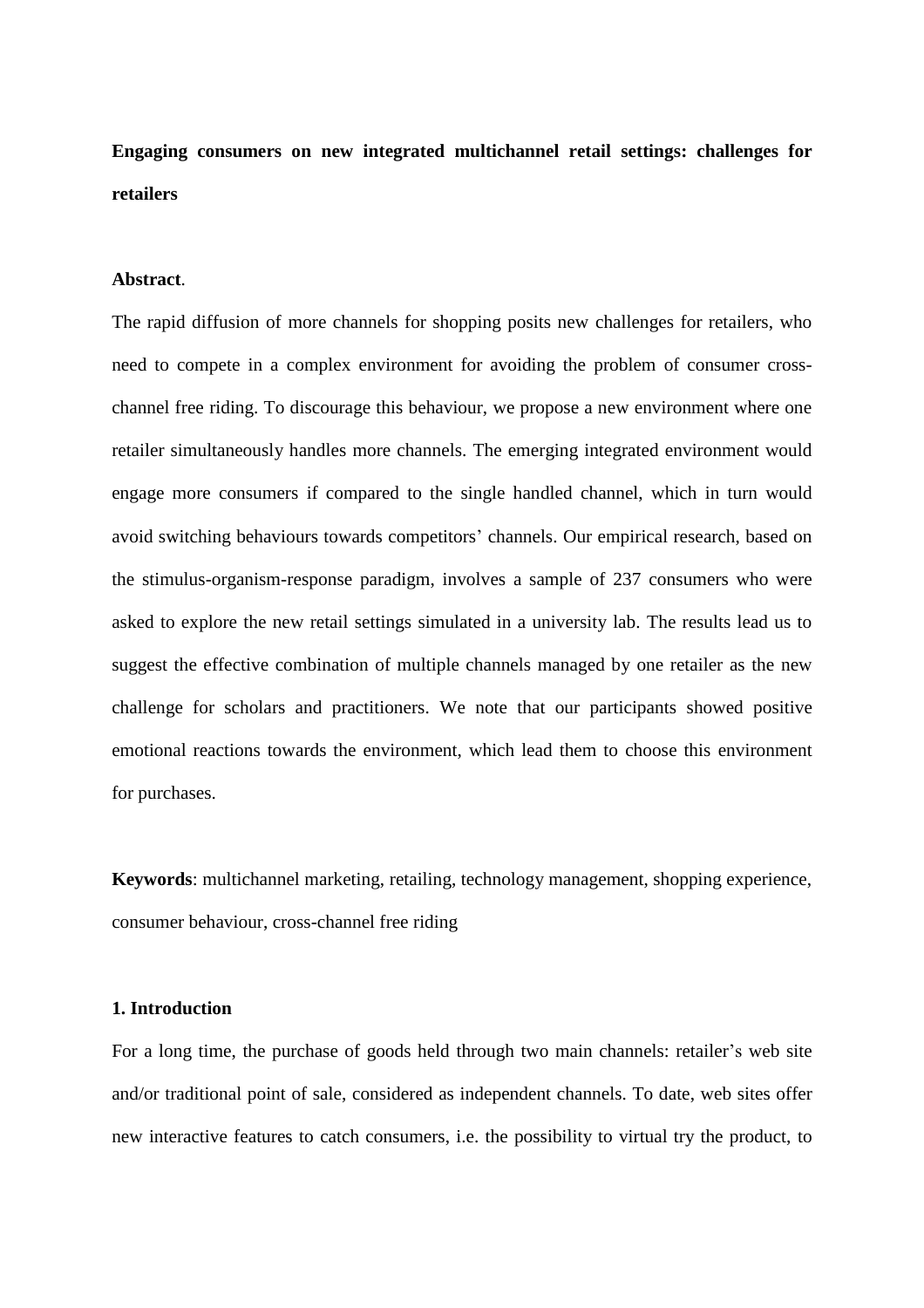**Engaging consumers on new integrated multichannel retail settings: challenges for retailers**

# **Abstract**.

The rapid diffusion of more channels for shopping posits new challenges for retailers, who need to compete in a complex environment for avoiding the problem of consumer crosschannel free riding. To discourage this behaviour, we propose a new environment where one retailer simultaneously handles more channels. The emerging integrated environment would engage more consumers if compared to the single handled channel, which in turn would avoid switching behaviours towards competitors' channels. Our empirical research, based on the stimulus-organism-response paradigm, involves a sample of 237 consumers who were asked to explore the new retail settings simulated in a university lab. The results lead us to suggest the effective combination of multiple channels managed by one retailer as the new challenge for scholars and practitioners. We note that our participants showed positive emotional reactions towards the environment, which lead them to choose this environment for purchases.

**Keywords**: multichannel marketing, retailing, technology management, shopping experience, consumer behaviour, cross-channel free riding

## **1. Introduction**

For a long time, the purchase of goods held through two main channels: retailer's web site and/or traditional point of sale, considered as independent channels. To date, web sites offer new interactive features to catch consumers, i.e. the possibility to virtual try the product, to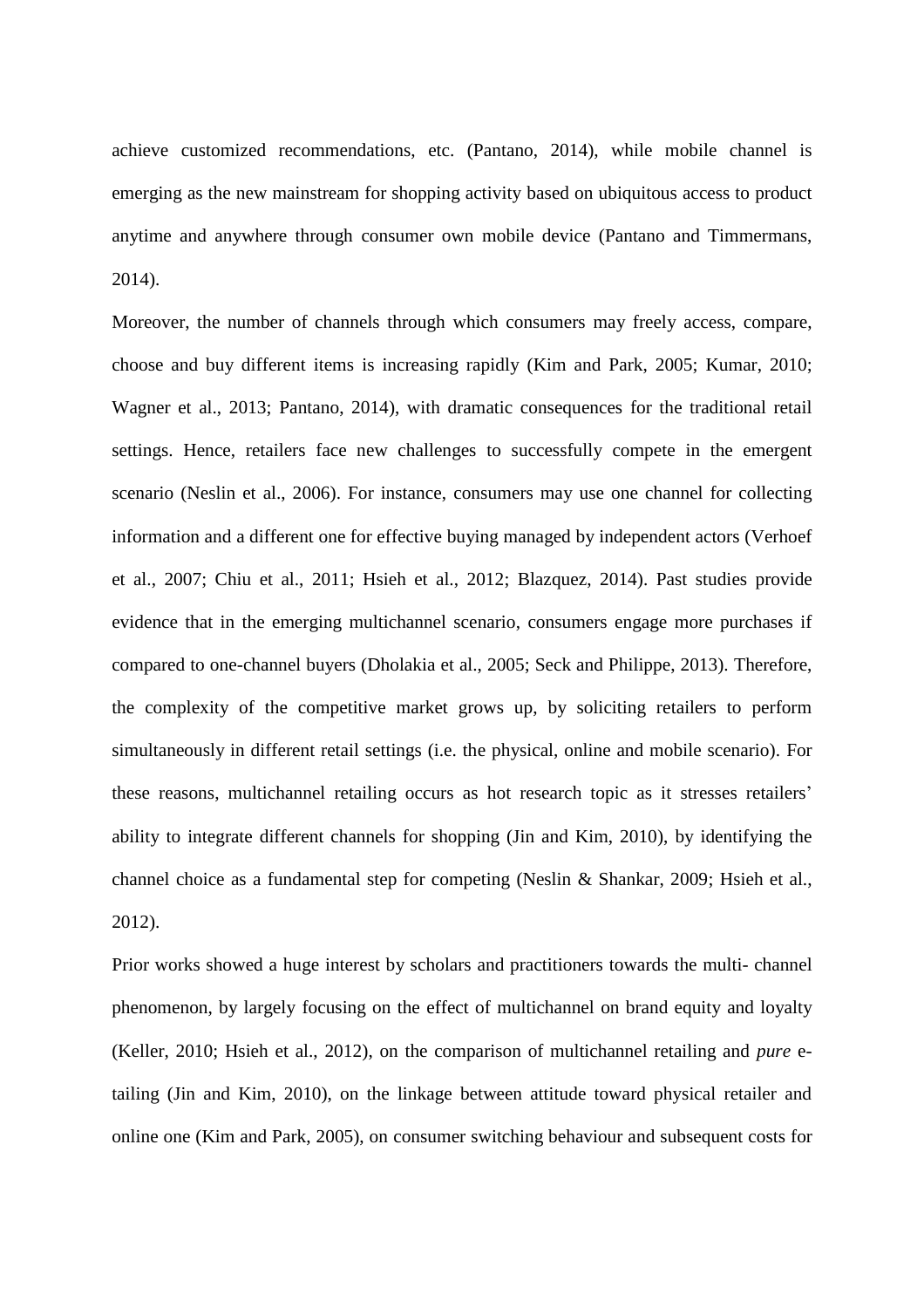achieve customized recommendations, etc. (Pantano, 2014), while mobile channel is emerging as the new mainstream for shopping activity based on ubiquitous access to product anytime and anywhere through consumer own mobile device (Pantano and Timmermans, 2014).

Moreover, the number of channels through which consumers may freely access, compare, choose and buy different items is increasing rapidly (Kim and Park, 2005; Kumar, 2010; Wagner et al., 2013; Pantano, 2014), with dramatic consequences for the traditional retail settings. Hence, retailers face new challenges to successfully compete in the emergent scenario (Neslin et al., 2006). For instance, consumers may use one channel for collecting information and a different one for effective buying managed by independent actors (Verhoef et al., 2007; Chiu et al., 2011; Hsieh et al., 2012; Blazquez, 2014). Past studies provide evidence that in the emerging multichannel scenario, consumers engage more purchases if compared to one-channel buyers (Dholakia et al., 2005; Seck and Philippe, 2013). Therefore, the complexity of the competitive market grows up, by soliciting retailers to perform simultaneously in different retail settings (i.e. the physical, online and mobile scenario). For these reasons, multichannel retailing occurs as hot research topic as it stresses retailers' ability to integrate different channels for shopping (Jin and Kim, 2010), by identifying the channel choice as a fundamental step for competing (Neslin & Shankar, 2009; Hsieh et al., 2012).

Prior works showed a huge interest by scholars and practitioners towards the multi- channel phenomenon, by largely focusing on the effect of multichannel on brand equity and loyalty (Keller, 2010; Hsieh et al., 2012), on the comparison of multichannel retailing and *pure* etailing (Jin and Kim, 2010), on the linkage between attitude toward physical retailer and online one (Kim and Park, 2005), on consumer switching behaviour and subsequent costs for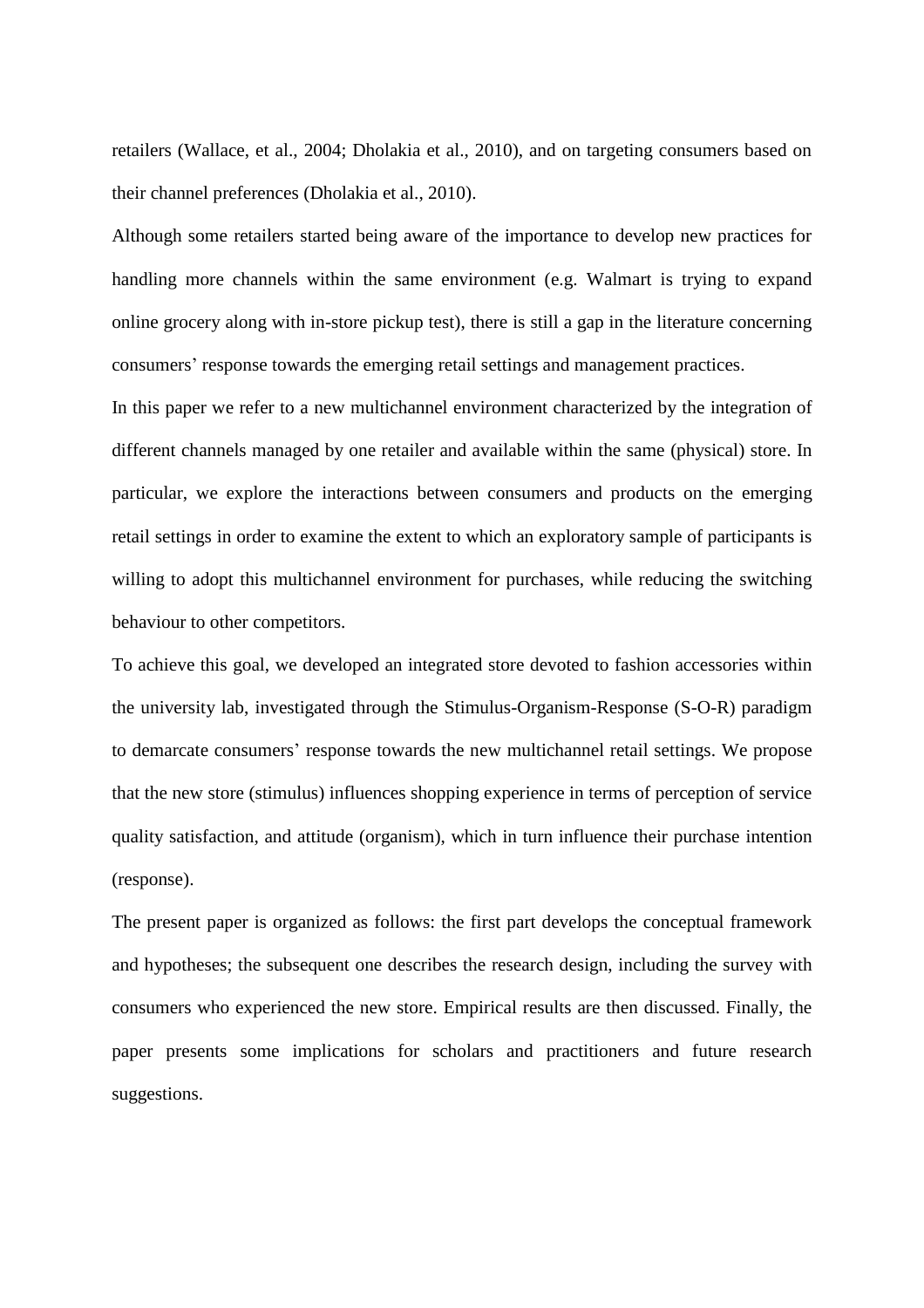retailers (Wallace, et al., 2004; Dholakia et al., 2010), and on targeting consumers based on their channel preferences (Dholakia et al., 2010).

Although some retailers started being aware of the importance to develop new practices for handling more channels within the same environment (e.g. Walmart is trying to expand online grocery along with in-store pickup test), there is still a gap in the literature concerning consumers' response towards the emerging retail settings and management practices.

In this paper we refer to a new multichannel environment characterized by the integration of different channels managed by one retailer and available within the same (physical) store. In particular, we explore the interactions between consumers and products on the emerging retail settings in order to examine the extent to which an exploratory sample of participants is willing to adopt this multichannel environment for purchases, while reducing the switching behaviour to other competitors.

To achieve this goal, we developed an integrated store devoted to fashion accessories within the university lab, investigated through the Stimulus-Organism-Response (S-O-R) paradigm to demarcate consumers' response towards the new multichannel retail settings. We propose that the new store (stimulus) influences shopping experience in terms of perception of service quality satisfaction, and attitude (organism), which in turn influence their purchase intention (response).

The present paper is organized as follows: the first part develops the conceptual framework and hypotheses; the subsequent one describes the research design, including the survey with consumers who experienced the new store. Empirical results are then discussed. Finally, the paper presents some implications for scholars and practitioners and future research suggestions.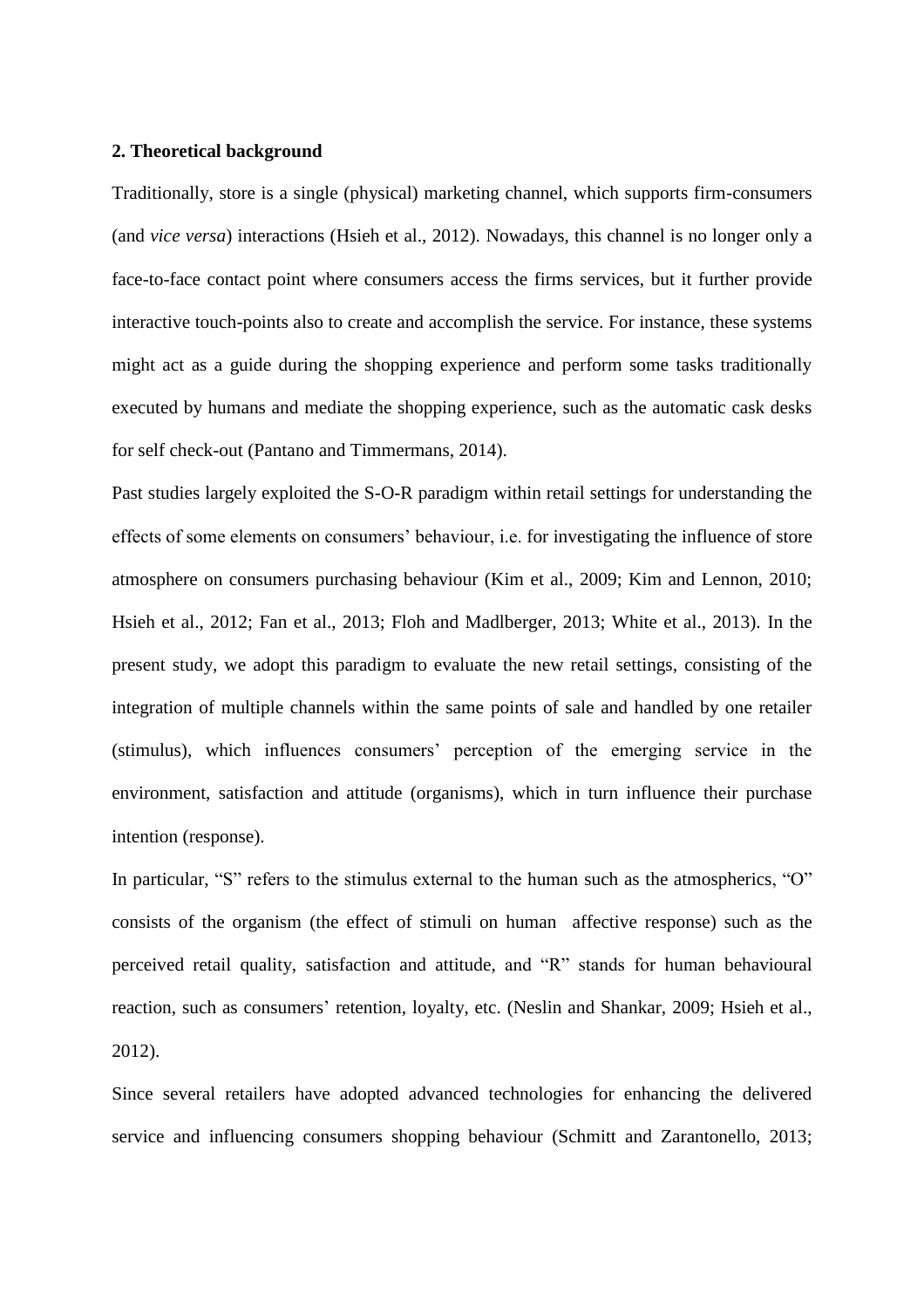# **2. Theoretical background**

Traditionally, store is a single (physical) marketing channel, which supports firm-consumers (and *vice versa*) interactions (Hsieh et al., 2012). Nowadays, this channel is no longer only a face-to-face contact point where consumers access the firms services, but it further provide interactive touch-points also to create and accomplish the service. For instance, these systems might act as a guide during the shopping experience and perform some tasks traditionally executed by humans and mediate the shopping experience, such as the automatic cask desks for self check-out (Pantano and Timmermans, 2014).

Past studies largely exploited the S-O-R paradigm within retail settings for understanding the effects of some elements on consumers' behaviour, i.e. for investigating the influence of store atmosphere on consumers purchasing behaviour (Kim et al., 2009; Kim and Lennon, 2010; Hsieh et al., 2012; Fan et al., 2013; Floh and Madlberger, 2013; White et al., 2013). In the present study, we adopt this paradigm to evaluate the new retail settings, consisting of the integration of multiple channels within the same points of sale and handled by one retailer (stimulus), which influences consumers' perception of the emerging service in the environment, satisfaction and attitude (organisms), which in turn influence their purchase intention (response).

In particular, "S" refers to the stimulus external to the human such as the atmospherics, "O" consists of the organism (the effect of stimuli on human affective response) such as the perceived retail quality, satisfaction and attitude, and "R" stands for human behavioural reaction, such as consumers' retention, loyalty, etc. (Neslin and Shankar, 2009; Hsieh et al., 2012).

Since several retailers have adopted advanced technologies for enhancing the delivered service and influencing consumers shopping behaviour (Schmitt and Zarantonello, 2013;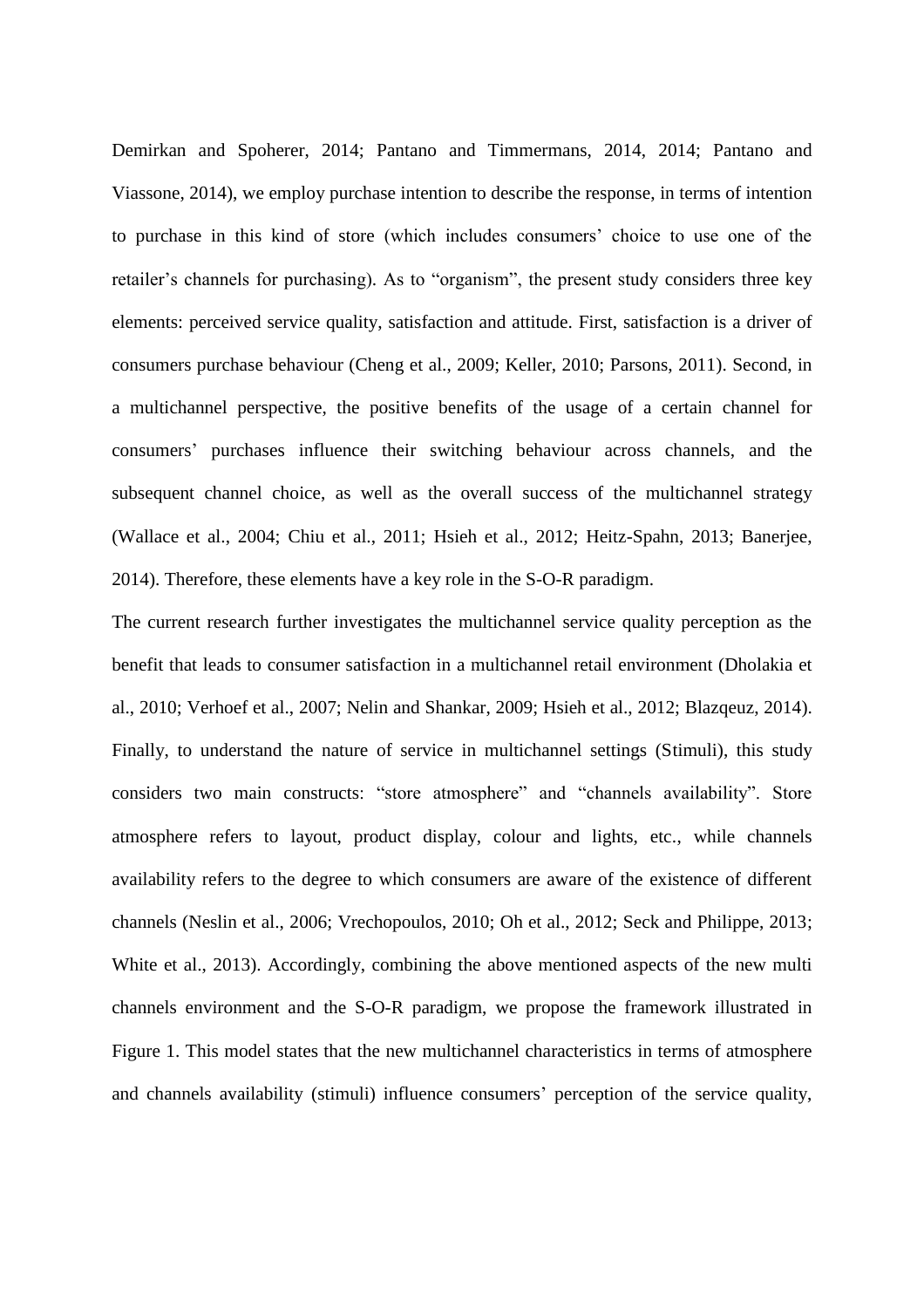Demirkan and Spoherer, 2014; Pantano and Timmermans, 2014, 2014; Pantano and Viassone, 2014), we employ purchase intention to describe the response, in terms of intention to purchase in this kind of store (which includes consumers' choice to use one of the retailer's channels for purchasing). As to "organism", the present study considers three key elements: perceived service quality, satisfaction and attitude. First, satisfaction is a driver of consumers purchase behaviour (Cheng et al., 2009; Keller, 2010; Parsons, 2011). Second, in a multichannel perspective, the positive benefits of the usage of a certain channel for consumers' purchases influence their switching behaviour across channels, and the subsequent channel choice, as well as the overall success of the multichannel strategy (Wallace et al., 2004; Chiu et al., 2011; Hsieh et al., 2012; Heitz-Spahn, 2013; Banerjee, 2014). Therefore, these elements have a key role in the S-O-R paradigm.

The current research further investigates the multichannel service quality perception as the benefit that leads to consumer satisfaction in a multichannel retail environment (Dholakia et al., 2010; Verhoef et al., 2007; Nelin and Shankar, 2009; Hsieh et al., 2012; Blazqeuz, 2014). Finally, to understand the nature of service in multichannel settings (Stimuli), this study considers two main constructs: "store atmosphere" and "channels availability". Store atmosphere refers to layout, product display, colour and lights, etc., while channels availability refers to the degree to which consumers are aware of the existence of different channels (Neslin et al., 2006; Vrechopoulos, 2010; Oh et al., 2012; Seck and Philippe, 2013; White et al., 2013). Accordingly, combining the above mentioned aspects of the new multi channels environment and the S-O-R paradigm, we propose the framework illustrated in Figure 1. This model states that the new multichannel characteristics in terms of atmosphere and channels availability (stimuli) influence consumers' perception of the service quality,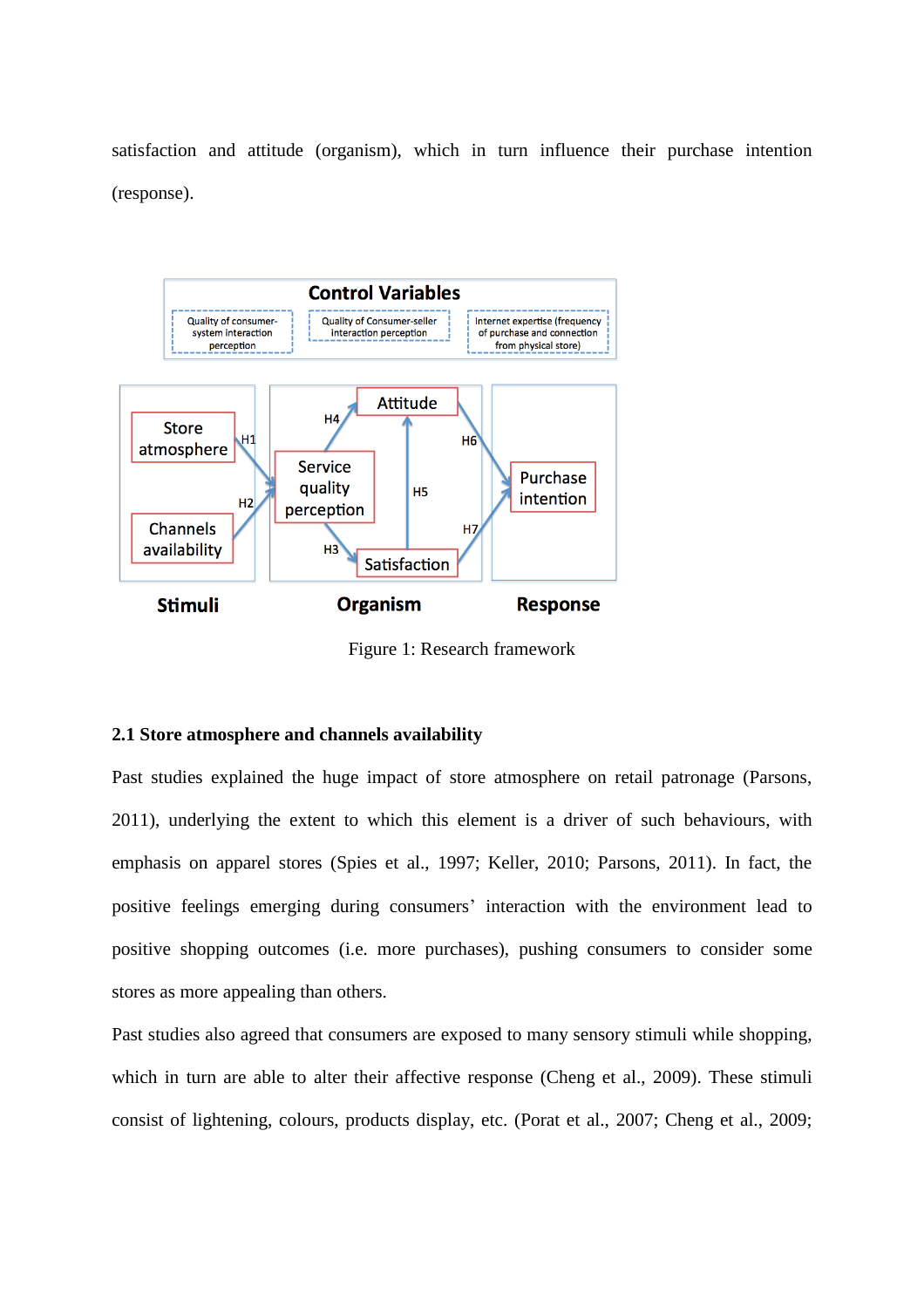satisfaction and attitude (organism), which in turn influence their purchase intention (response).



Figure 1: Research framework

# **2.1 Store atmosphere and channels availability**

Past studies explained the huge impact of store atmosphere on retail patronage (Parsons, 2011), underlying the extent to which this element is a driver of such behaviours, with emphasis on apparel stores (Spies et al., 1997; Keller, 2010; Parsons, 2011). In fact, the positive feelings emerging during consumers' interaction with the environment lead to positive shopping outcomes (i.e. more purchases), pushing consumers to consider some stores as more appealing than others.

Past studies also agreed that consumers are exposed to many sensory stimuli while shopping, which in turn are able to alter their affective response (Cheng et al., 2009). These stimuli consist of lightening, colours, products display, etc. (Porat et al., 2007; Cheng et al., 2009;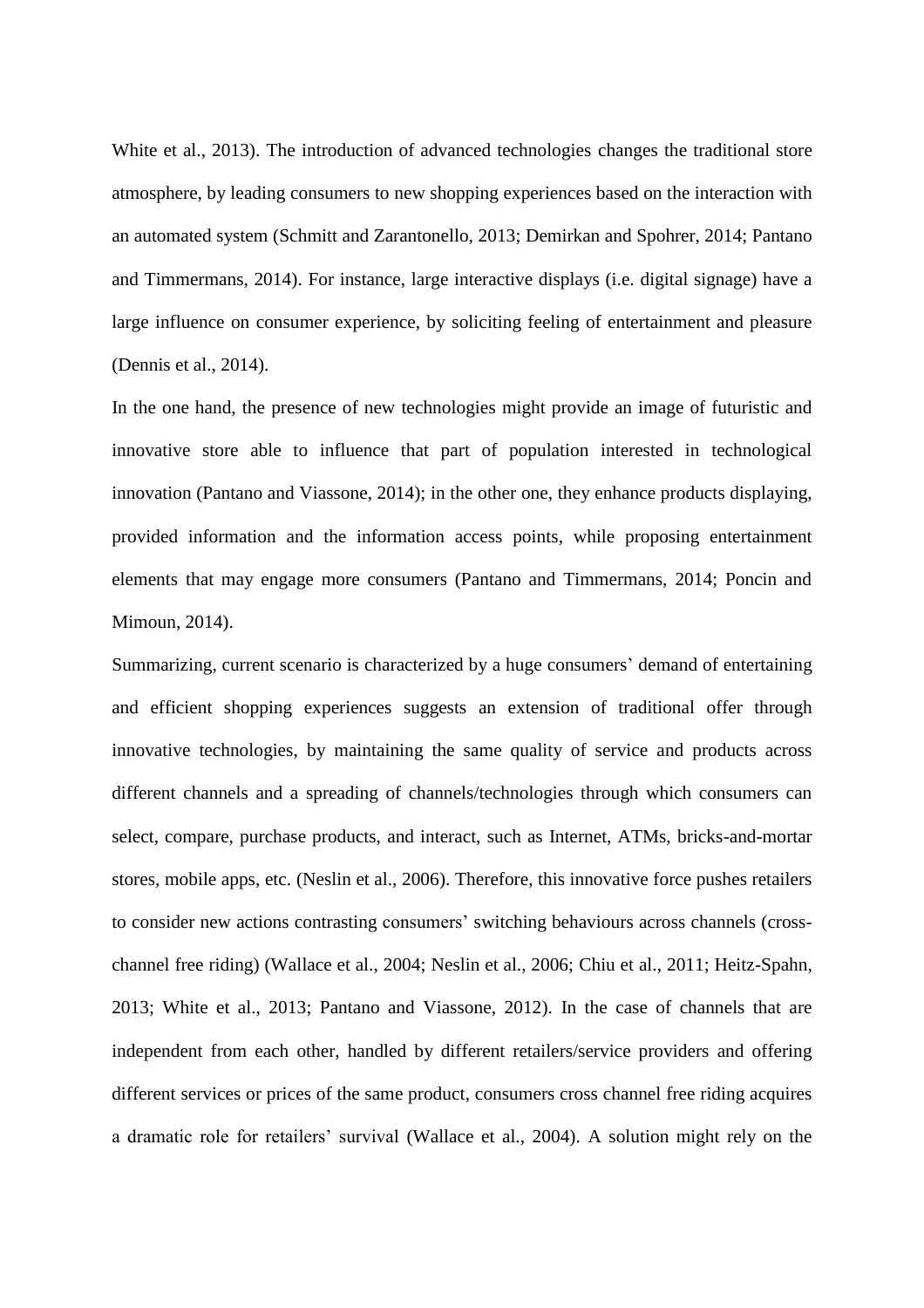White et al., 2013). The introduction of advanced technologies changes the traditional store atmosphere, by leading consumers to new shopping experiences based on the interaction with an automated system (Schmitt and Zarantonello, 2013; Demirkan and Spohrer, 2014; Pantano and Timmermans, 2014). For instance, large interactive displays (i.e. digital signage) have a large influence on consumer experience, by soliciting feeling of entertainment and pleasure (Dennis et al., 2014).

In the one hand, the presence of new technologies might provide an image of futuristic and innovative store able to influence that part of population interested in technological innovation (Pantano and Viassone, 2014); in the other one, they enhance products displaying, provided information and the information access points, while proposing entertainment elements that may engage more consumers (Pantano and Timmermans, 2014; Poncin and Mimoun, 2014).

Summarizing, current scenario is characterized by a huge consumers' demand of entertaining and efficient shopping experiences suggests an extension of traditional offer through innovative technologies, by maintaining the same quality of service and products across different channels and a spreading of channels/technologies through which consumers can select, compare, purchase products, and interact, such as Internet, ATMs, bricks-and-mortar stores, mobile apps, etc. (Neslin et al., 2006). Therefore, this innovative force pushes retailers to consider new actions contrasting consumers' switching behaviours across channels (crosschannel free riding) (Wallace et al., 2004; Neslin et al., 2006; Chiu et al., 2011; Heitz-Spahn, 2013; White et al., 2013; Pantano and Viassone, 2012). In the case of channels that are independent from each other, handled by different retailers/service providers and offering different services or prices of the same product, consumers cross channel free riding acquires a dramatic role for retailers' survival (Wallace et al., 2004). A solution might rely on the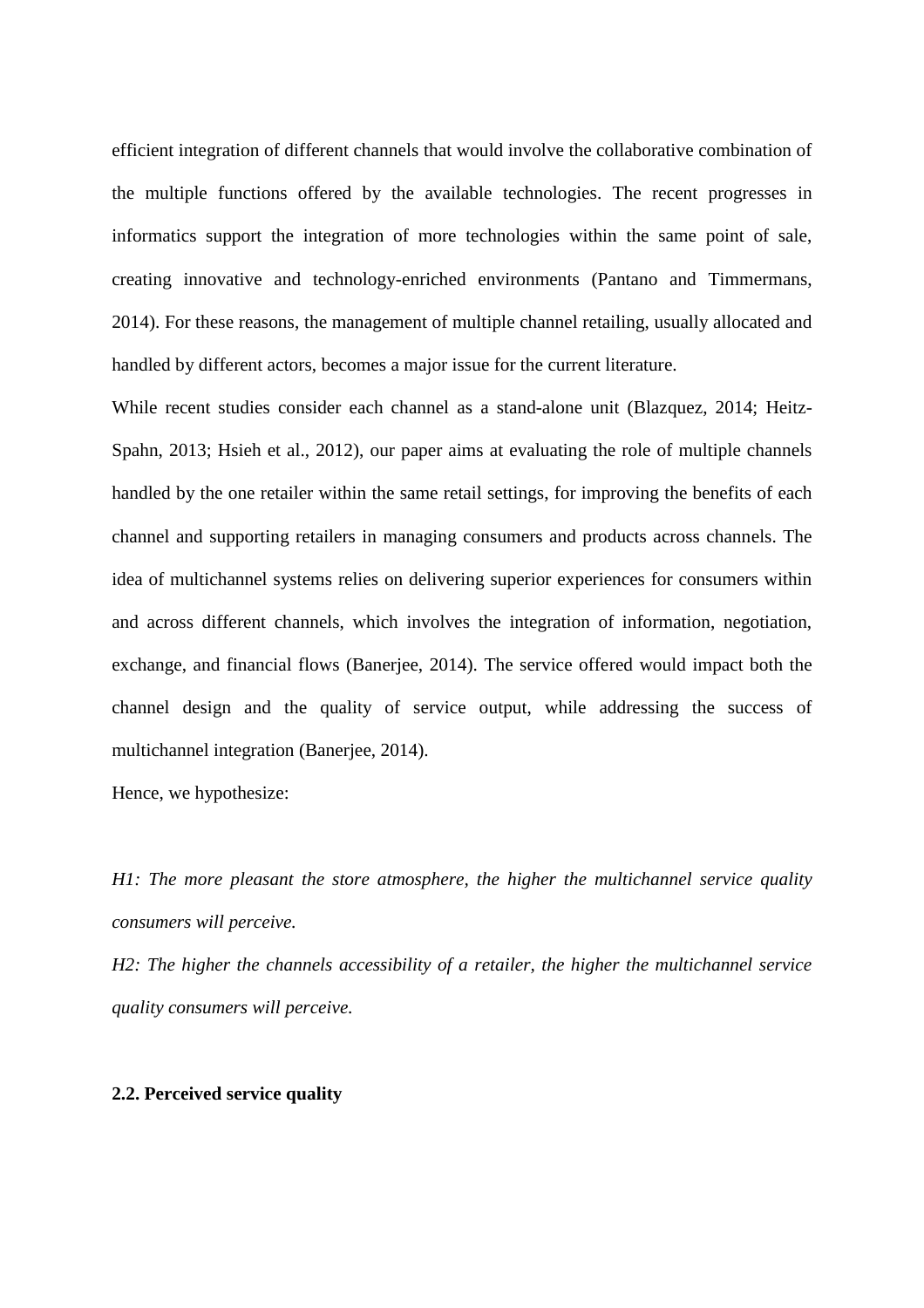efficient integration of different channels that would involve the collaborative combination of the multiple functions offered by the available technologies. The recent progresses in informatics support the integration of more technologies within the same point of sale, creating innovative and technology-enriched environments (Pantano and Timmermans, 2014). For these reasons, the management of multiple channel retailing, usually allocated and handled by different actors, becomes a major issue for the current literature.

While recent studies consider each channel as a stand-alone unit (Blazquez, 2014; Heitz-Spahn, 2013; Hsieh et al., 2012), our paper aims at evaluating the role of multiple channels handled by the one retailer within the same retail settings, for improving the benefits of each channel and supporting retailers in managing consumers and products across channels. The idea of multichannel systems relies on delivering superior experiences for consumers within and across different channels, which involves the integration of information, negotiation, exchange, and financial flows (Banerjee, 2014). The service offered would impact both the channel design and the quality of service output, while addressing the success of multichannel integration (Banerjee, 2014).

Hence, we hypothesize:

*H1: The more pleasant the store atmosphere, the higher the multichannel service quality consumers will perceive.*

*H2: The higher the channels accessibility of a retailer, the higher the multichannel service quality consumers will perceive.*

# **2.2. Perceived service quality**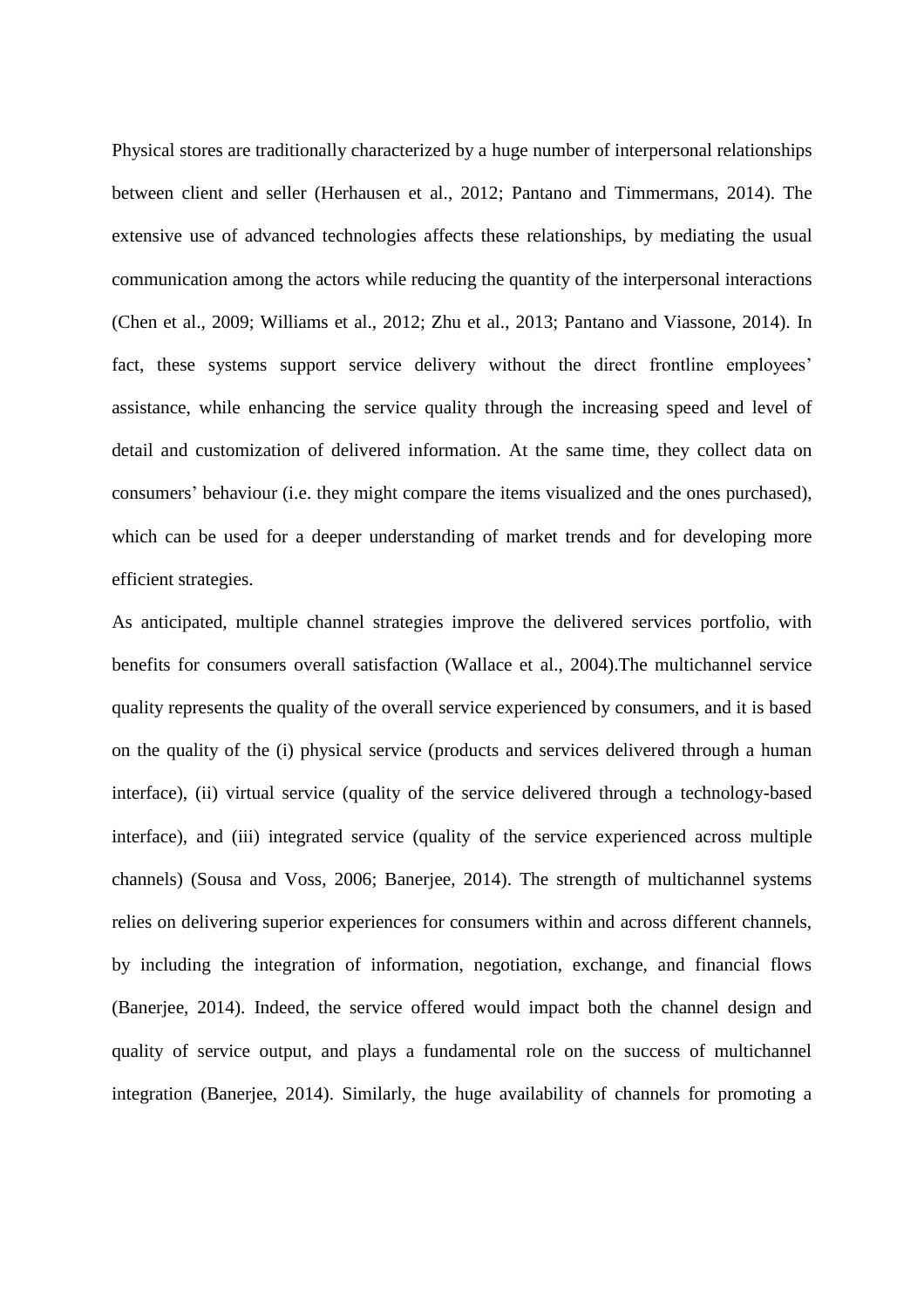Physical stores are traditionally characterized by a huge number of interpersonal relationships between client and seller (Herhausen et al., 2012; Pantano and Timmermans, 2014). The extensive use of advanced technologies affects these relationships, by mediating the usual communication among the actors while reducing the quantity of the interpersonal interactions (Chen et al., 2009; Williams et al., 2012; Zhu et al., 2013; Pantano and Viassone, 2014). In fact, these systems support service delivery without the direct frontline employees' assistance, while enhancing the service quality through the increasing speed and level of detail and customization of delivered information. At the same time, they collect data on consumers' behaviour (i.e. they might compare the items visualized and the ones purchased), which can be used for a deeper understanding of market trends and for developing more efficient strategies.

As anticipated, multiple channel strategies improve the delivered services portfolio, with benefits for consumers overall satisfaction (Wallace et al., 2004).The multichannel service quality represents the quality of the overall service experienced by consumers, and it is based on the quality of the (i) physical service (products and services delivered through a human interface), (ii) virtual service (quality of the service delivered through a technology-based interface), and (iii) integrated service (quality of the service experienced across multiple channels) (Sousa and Voss, 2006; Banerjee, 2014). The strength of multichannel systems relies on delivering superior experiences for consumers within and across different channels, by including the integration of information, negotiation, exchange, and financial flows (Banerjee, 2014). Indeed, the service offered would impact both the channel design and quality of service output, and plays a fundamental role on the success of multichannel integration (Banerjee, 2014). Similarly, the huge availability of channels for promoting a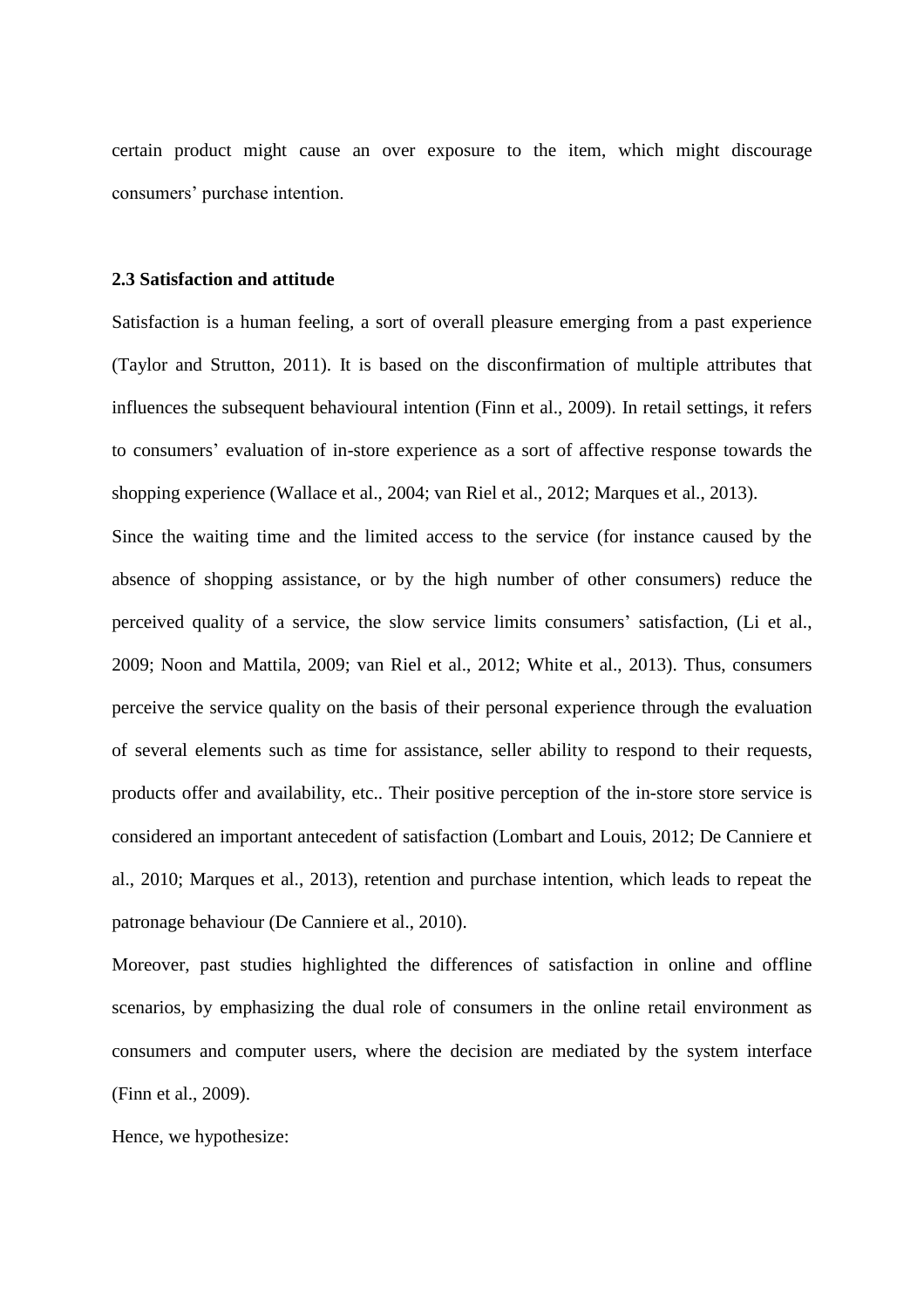certain product might cause an over exposure to the item, which might discourage consumers' purchase intention.

# **2.3 Satisfaction and attitude**

Satisfaction is a human feeling, a sort of overall pleasure emerging from a past experience (Taylor and Strutton, 2011). It is based on the disconfirmation of multiple attributes that influences the subsequent behavioural intention (Finn et al., 2009). In retail settings, it refers to consumers' evaluation of in-store experience as a sort of affective response towards the shopping experience (Wallace et al., 2004; van Riel et al., 2012; Marques et al., 2013).

Since the waiting time and the limited access to the service (for instance caused by the absence of shopping assistance, or by the high number of other consumers) reduce the perceived quality of a service, the slow service limits consumers' satisfaction, (Li et al., 2009; Noon and Mattila, 2009; van Riel et al., 2012; White et al., 2013). Thus, consumers perceive the service quality on the basis of their personal experience through the evaluation of several elements such as time for assistance, seller ability to respond to their requests, products offer and availability, etc.. Their positive perception of the in-store store service is considered an important antecedent of satisfaction (Lombart and Louis, 2012; De Canniere et al., 2010; Marques et al., 2013), retention and purchase intention, which leads to repeat the patronage behaviour (De Canniere et al., 2010).

Moreover, past studies highlighted the differences of satisfaction in online and offline scenarios, by emphasizing the dual role of consumers in the online retail environment as consumers and computer users, where the decision are mediated by the system interface (Finn et al., 2009).

Hence, we hypothesize: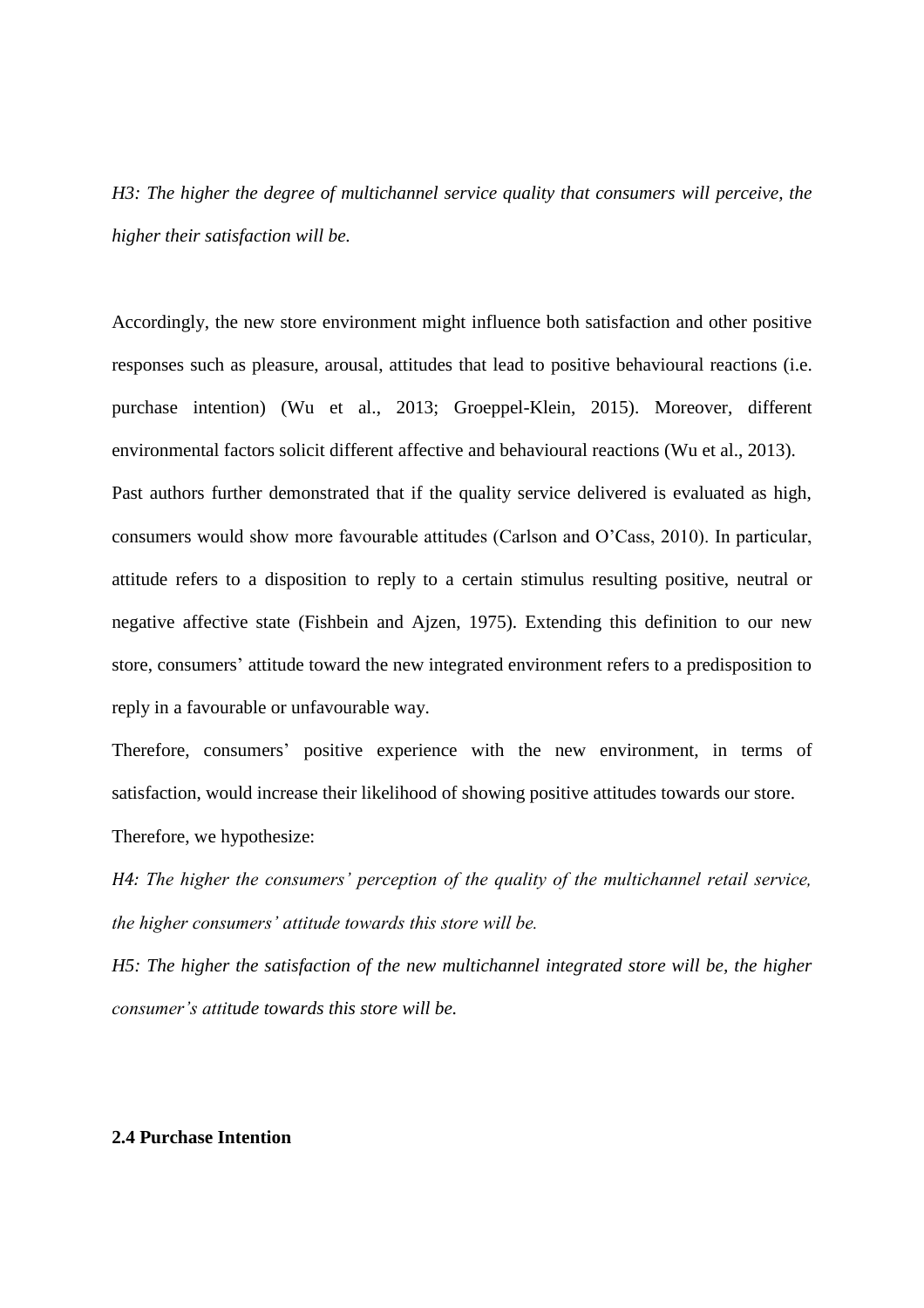*H3: The higher the degree of multichannel service quality that consumers will perceive, the higher their satisfaction will be.*

Accordingly, the new store environment might influence both satisfaction and other positive responses such as pleasure, arousal, attitudes that lead to positive behavioural reactions (i.e. purchase intention) (Wu et al., 2013; Groeppel-Klein, 2015). Moreover, different environmental factors solicit different affective and behavioural reactions (Wu et al., 2013). Past authors further demonstrated that if the quality service delivered is evaluated as high, consumers would show more favourable attitudes (Carlson and O'Cass, 2010). In particular, attitude refers to a disposition to reply to a certain stimulus resulting positive, neutral or negative affective state (Fishbein and Ajzen, 1975). Extending this definition to our new store, consumers' attitude toward the new integrated environment refers to a predisposition to reply in a favourable or unfavourable way.

Therefore, consumers' positive experience with the new environment, in terms of satisfaction, would increase their likelihood of showing positive attitudes towards our store. Therefore, we hypothesize:

*H4: The higher the consumers' perception of the quality of the multichannel retail service, the higher consumers' attitude towards this store will be.*

*H5: The higher the satisfaction of the new multichannel integrated store will be, the higher consumer's attitude towards this store will be.*

# **2.4 Purchase Intention**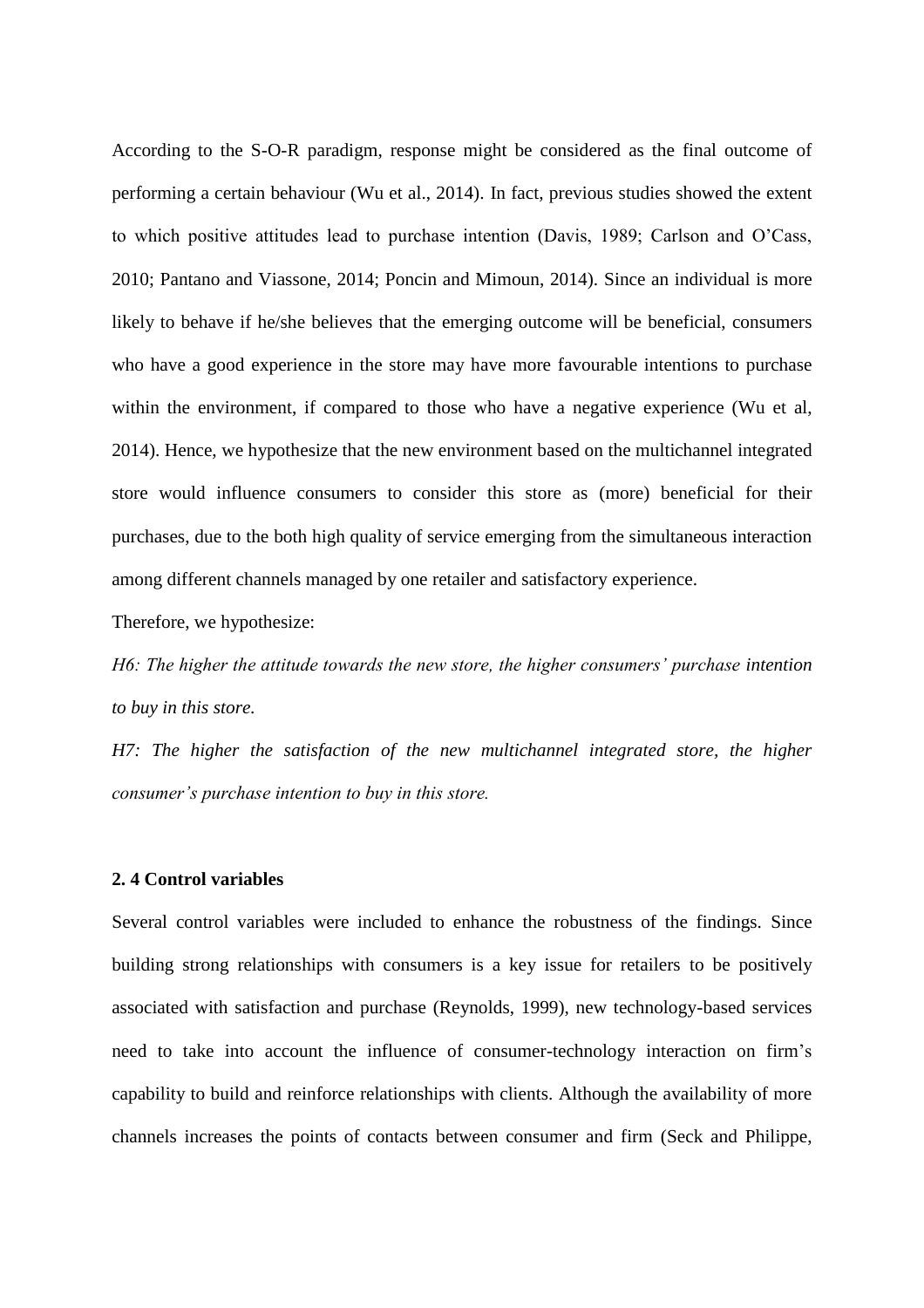According to the S-O-R paradigm, response might be considered as the final outcome of performing a certain behaviour (Wu et al., 2014). In fact, previous studies showed the extent to which positive attitudes lead to purchase intention (Davis, 1989; Carlson and O'Cass, 2010; Pantano and Viassone, 2014; Poncin and Mimoun, 2014). Since an individual is more likely to behave if he/she believes that the emerging outcome will be beneficial, consumers who have a good experience in the store may have more favourable intentions to purchase within the environment, if compared to those who have a negative experience (Wu et al, 2014). Hence, we hypothesize that the new environment based on the multichannel integrated store would influence consumers to consider this store as (more) beneficial for their purchases, due to the both high quality of service emerging from the simultaneous interaction among different channels managed by one retailer and satisfactory experience.

Therefore, we hypothesize:

*H6: The higher the attitude towards the new store, the higher consumers' purchase intention to buy in this store.*

*H7: The higher the satisfaction of the new multichannel integrated store, the higher consumer's purchase intention to buy in this store.*

# **2. 4 Control variables**

Several control variables were included to enhance the robustness of the findings. Since building strong relationships with consumers is a key issue for retailers to be positively associated with satisfaction and purchase (Reynolds, 1999), new technology-based services need to take into account the influence of consumer-technology interaction on firm's capability to build and reinforce relationships with clients. Although the availability of more channels increases the points of contacts between consumer and firm (Seck and Philippe,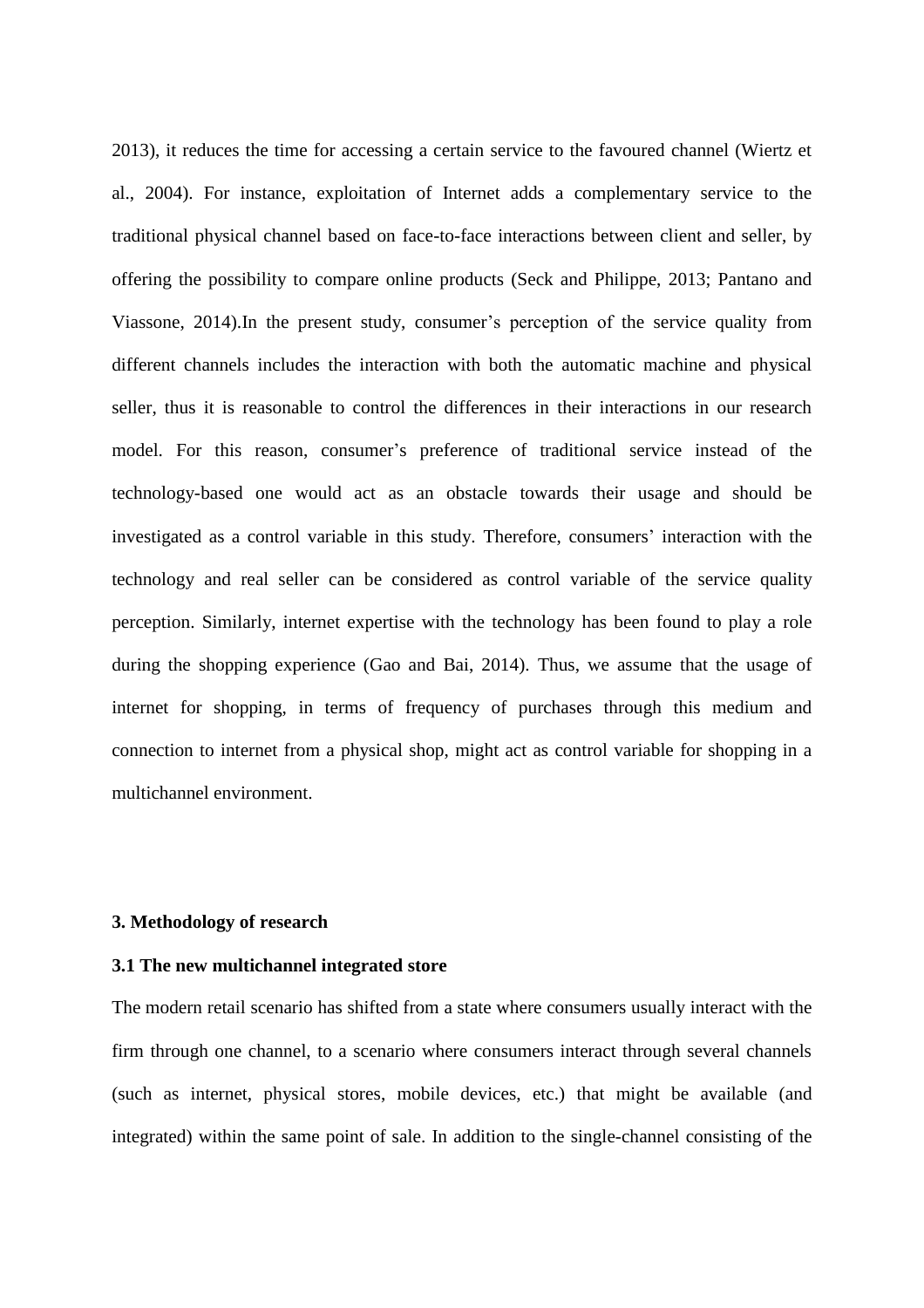2013), it reduces the time for accessing a certain service to the favoured channel (Wiertz et al., 2004). For instance, exploitation of Internet adds a complementary service to the traditional physical channel based on face-to-face interactions between client and seller, by offering the possibility to compare online products (Seck and Philippe, 2013; Pantano and Viassone, 2014).In the present study, consumer's perception of the service quality from different channels includes the interaction with both the automatic machine and physical seller, thus it is reasonable to control the differences in their interactions in our research model. For this reason, consumer's preference of traditional service instead of the technology-based one would act as an obstacle towards their usage and should be investigated as a control variable in this study. Therefore, consumers' interaction with the technology and real seller can be considered as control variable of the service quality perception. Similarly, internet expertise with the technology has been found to play a role during the shopping experience (Gao and Bai, 2014). Thus, we assume that the usage of internet for shopping, in terms of frequency of purchases through this medium and connection to internet from a physical shop, might act as control variable for shopping in a multichannel environment.

#### **3. Methodology of research**

# **3.1 The new multichannel integrated store**

The modern retail scenario has shifted from a state where consumers usually interact with the firm through one channel, to a scenario where consumers interact through several channels (such as internet, physical stores, mobile devices, etc.) that might be available (and integrated) within the same point of sale. In addition to the single-channel consisting of the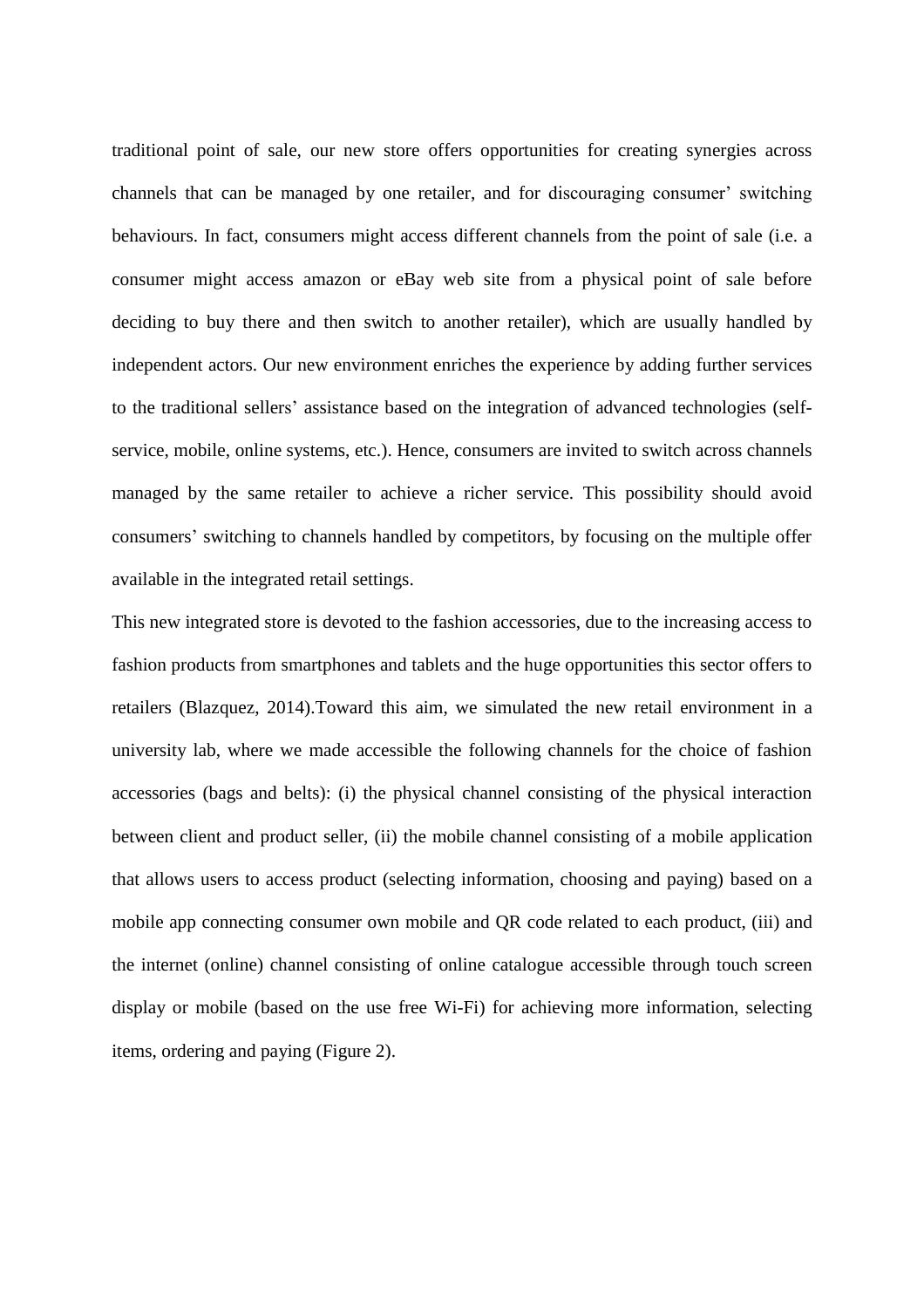traditional point of sale, our new store offers opportunities for creating synergies across channels that can be managed by one retailer, and for discouraging consumer' switching behaviours. In fact, consumers might access different channels from the point of sale (i.e. a consumer might access amazon or eBay web site from a physical point of sale before deciding to buy there and then switch to another retailer), which are usually handled by independent actors. Our new environment enriches the experience by adding further services to the traditional sellers' assistance based on the integration of advanced technologies (selfservice, mobile, online systems, etc.). Hence, consumers are invited to switch across channels managed by the same retailer to achieve a richer service. This possibility should avoid consumers' switching to channels handled by competitors, by focusing on the multiple offer available in the integrated retail settings.

This new integrated store is devoted to the fashion accessories, due to the increasing access to fashion products from smartphones and tablets and the huge opportunities this sector offers to retailers (Blazquez, 2014).Toward this aim, we simulated the new retail environment in a university lab, where we made accessible the following channels for the choice of fashion accessories (bags and belts): (i) the physical channel consisting of the physical interaction between client and product seller, (ii) the mobile channel consisting of a mobile application that allows users to access product (selecting information, choosing and paying) based on a mobile app connecting consumer own mobile and QR code related to each product, (iii) and the internet (online) channel consisting of online catalogue accessible through touch screen display or mobile (based on the use free Wi-Fi) for achieving more information, selecting items, ordering and paying (Figure 2).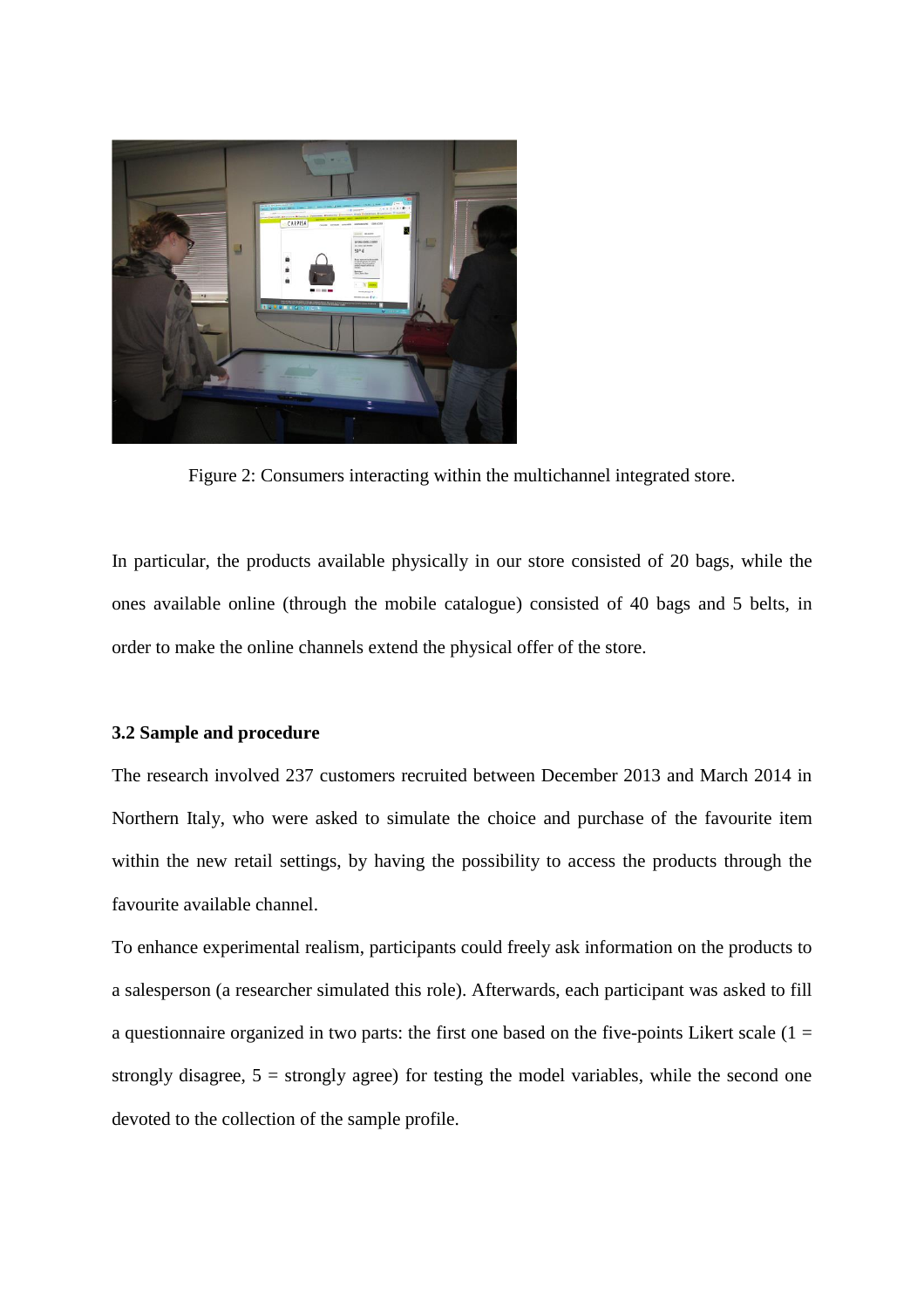

Figure 2: Consumers interacting within the multichannel integrated store.

In particular, the products available physically in our store consisted of 20 bags, while the ones available online (through the mobile catalogue) consisted of 40 bags and 5 belts, in order to make the online channels extend the physical offer of the store.

#### **3.2 Sample and procedure**

The research involved 237 customers recruited between December 2013 and March 2014 in Northern Italy, who were asked to simulate the choice and purchase of the favourite item within the new retail settings, by having the possibility to access the products through the favourite available channel.

To enhance experimental realism, participants could freely ask information on the products to a salesperson (a researcher simulated this role). Afterwards, each participant was asked to fill a questionnaire organized in two parts: the first one based on the five-points Likert scale  $(1 =$ strongly disagree,  $5 =$  strongly agree) for testing the model variables, while the second one devoted to the collection of the sample profile.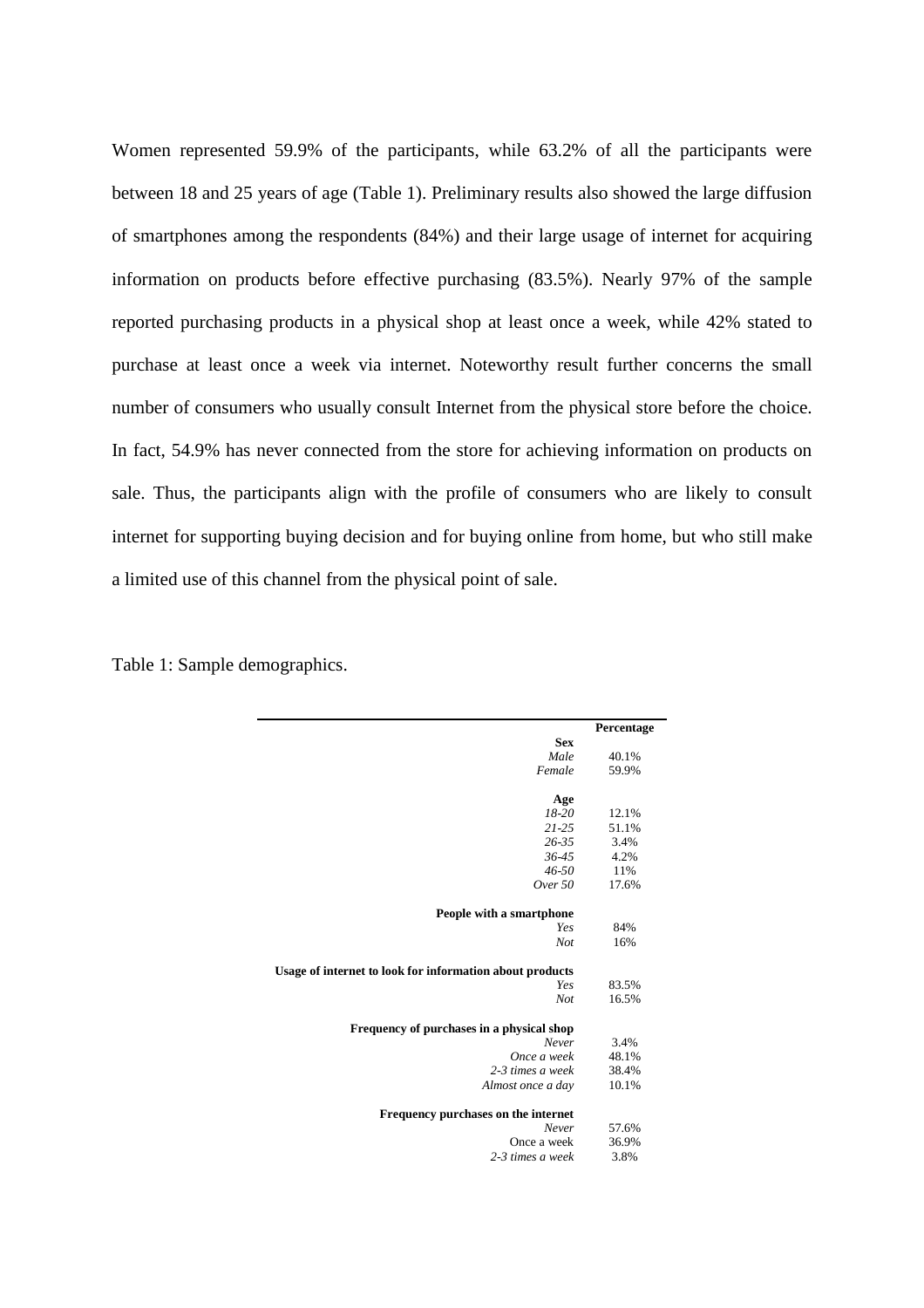Women represented 59.9% of the participants, while 63.2% of all the participants were between 18 and 25 years of age (Table 1). Preliminary results also showed the large diffusion of smartphones among the respondents (84%) and their large usage of internet for acquiring information on products before effective purchasing (83.5%). Nearly 97% of the sample reported purchasing products in a physical shop at least once a week, while 42% stated to purchase at least once a week via internet. Noteworthy result further concerns the small number of consumers who usually consult Internet from the physical store before the choice. In fact, 54.9% has never connected from the store for achieving information on products on sale. Thus, the participants align with the profile of consumers who are likely to consult internet for supporting buying decision and for buying online from home, but who still make a limited use of this channel from the physical point of sale.

Table 1: Sample demographics.

|                                                          | Percentage |
|----------------------------------------------------------|------------|
| <b>Sex</b>                                               |            |
| Male                                                     | 40.1%      |
| Female                                                   | 59.9%      |
|                                                          |            |
| Age                                                      |            |
| $18-20$                                                  | 12.1%      |
| $21 - 25$                                                | 51.1%      |
| $26 - 35$                                                | 3.4%       |
| $36 - 45$                                                | 4.2%       |
| $46 - 50$                                                | 11%        |
| Over $50$                                                | 17.6%      |
|                                                          |            |
| People with a smartphone                                 |            |
| Yes                                                      | 84%        |
| Not                                                      | 16%        |
|                                                          |            |
| Usage of internet to look for information about products |            |
| <b>Yes</b>                                               | 83.5%      |
| Not                                                      | 16.5%      |
|                                                          |            |
| Frequency of purchases in a physical shop                |            |
| Never                                                    | 3.4%       |
| Once a week                                              | 48.1%      |
| 2-3 times a week                                         | 38.4%      |
| Almost once a day                                        | 10.1%      |
| Frequency purchases on the internet                      |            |
| Never                                                    | 57.6%      |
| Once a week                                              | 36.9%      |
| 2-3 times a week                                         | 3.8%       |
|                                                          |            |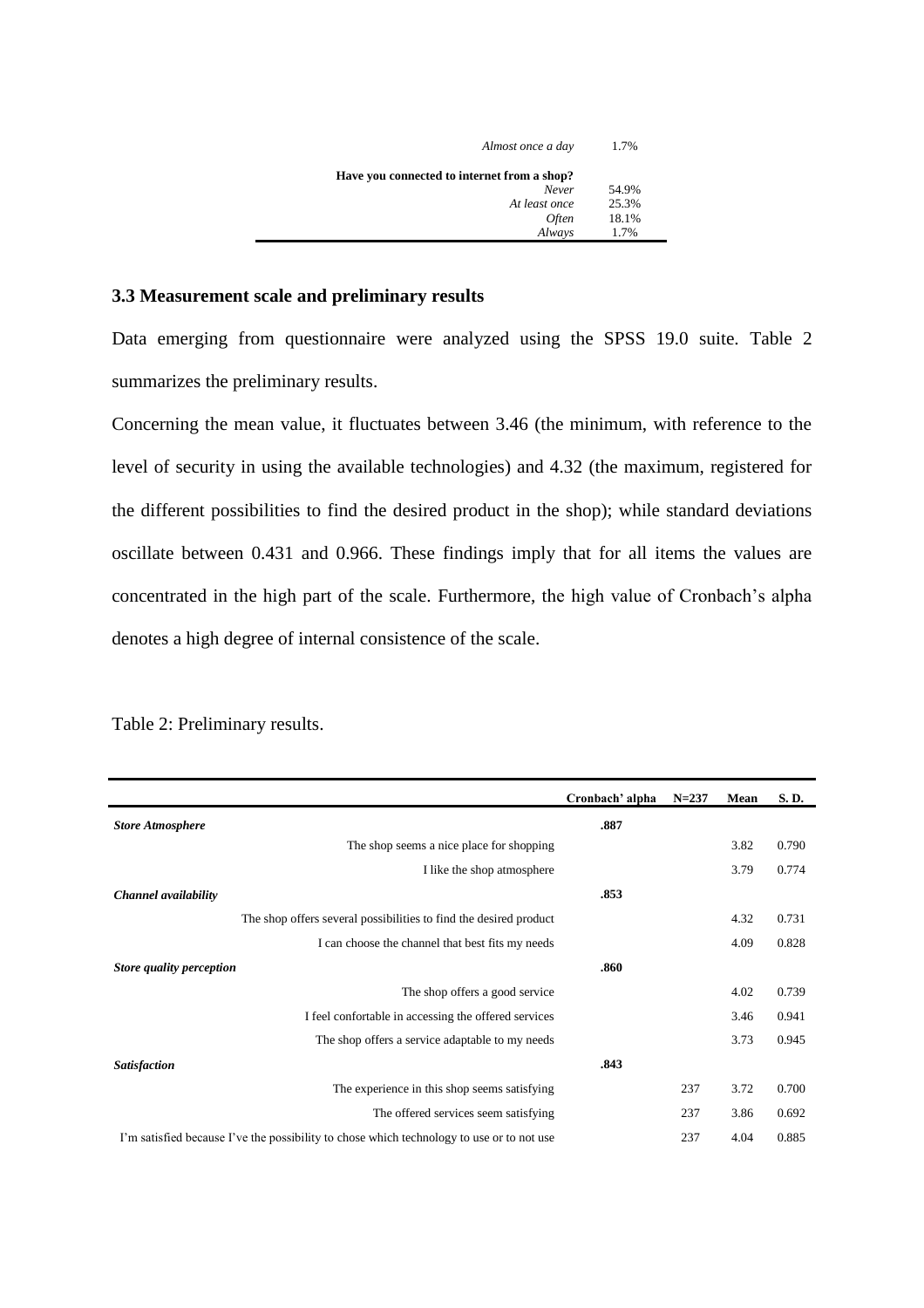| Almost once a day                           | 1.7%  |
|---------------------------------------------|-------|
| Have you connected to internet from a shop? |       |
| Never                                       | 54.9% |
| At least once                               | 25.3% |
| <i>Often</i>                                | 18.1% |
| Always                                      | 1.7%  |

# **3.3 Measurement scale and preliminary results**

Data emerging from questionnaire were analyzed using the SPSS 19.0 suite. Table 2 summarizes the preliminary results.

Concerning the mean value, it fluctuates between 3.46 (the minimum, with reference to the level of security in using the available technologies) and 4.32 (the maximum, registered for the different possibilities to find the desired product in the shop); while standard deviations oscillate between 0.431 and 0.966. These findings imply that for all items the values are concentrated in the high part of the scale. Furthermore, the high value of Cronbach's alpha denotes a high degree of internal consistence of the scale.

|                                                                                           | Cronbach' alpha | $N = 237$ | Mean | <b>S.D.</b> |
|-------------------------------------------------------------------------------------------|-----------------|-----------|------|-------------|
| <b>Store Atmosphere</b>                                                                   | .887            |           |      |             |
| The shop seems a nice place for shopping                                                  |                 |           | 3.82 | 0.790       |
| I like the shop atmosphere                                                                |                 |           | 3.79 | 0.774       |
| Channel availability                                                                      | .853            |           |      |             |
| The shop offers several possibilities to find the desired product                         |                 |           | 4.32 | 0.731       |
| I can choose the channel that best fits my needs                                          |                 |           | 4.09 | 0.828       |
| Store quality perception                                                                  | .860            |           |      |             |
| The shop offers a good service                                                            |                 |           | 4.02 | 0.739       |
| I feel confortable in accessing the offered services                                      |                 |           | 3.46 | 0.941       |
| The shop offers a service adaptable to my needs                                           |                 |           | 3.73 | 0.945       |
| <b>Satisfaction</b>                                                                       | .843            |           |      |             |
| The experience in this shop seems satisfying                                              |                 | 237       | 3.72 | 0.700       |
| The offered services seem satisfying                                                      |                 | 237       | 3.86 | 0.692       |
| I'm satisfied because I've the possibility to chose which technology to use or to not use |                 | 237       | 4.04 | 0.885       |

Table 2: Preliminary results.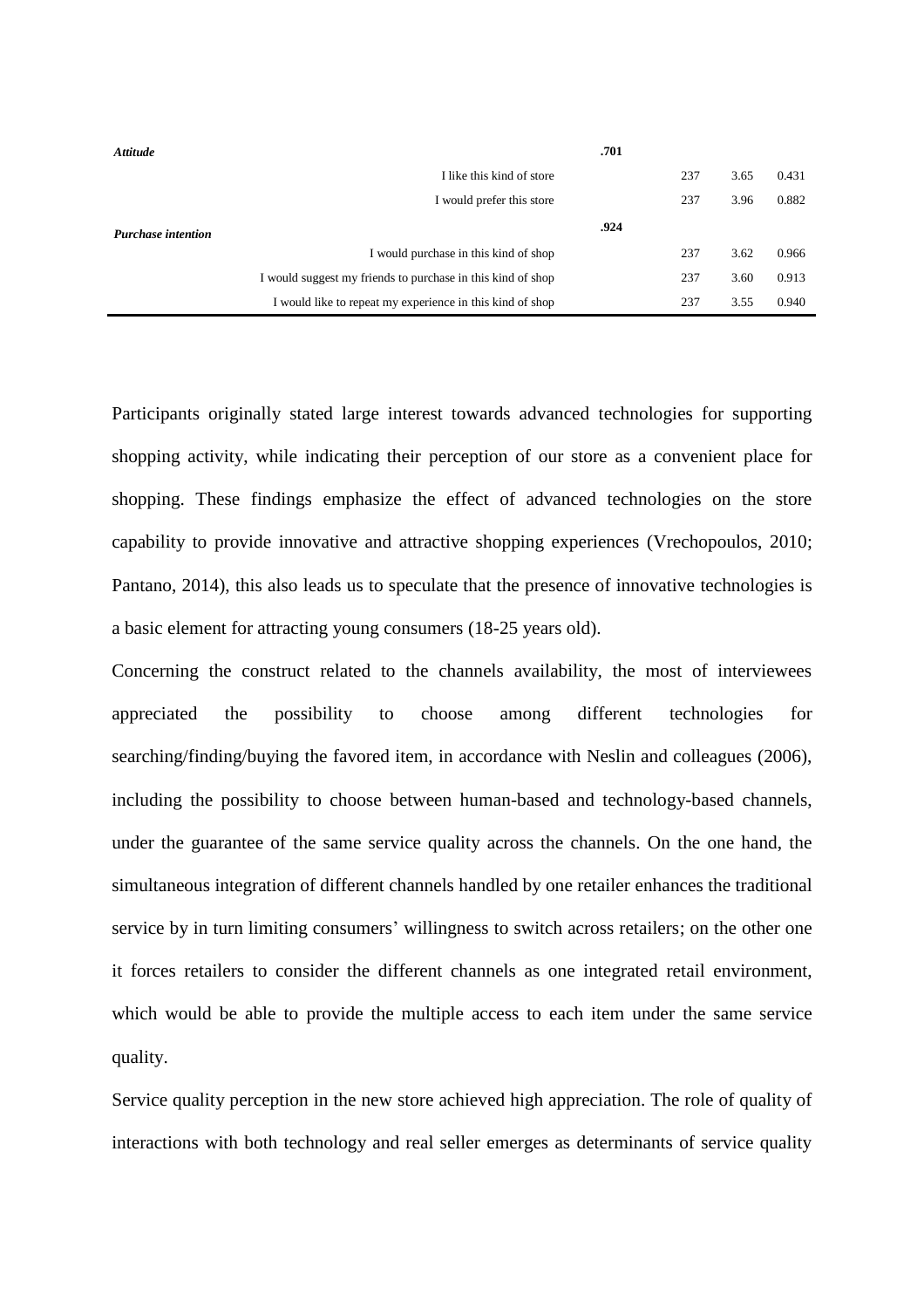| <b>Attitude</b>           |                                                             | .701 |     |      |       |
|---------------------------|-------------------------------------------------------------|------|-----|------|-------|
| <b>Purchase intention</b> | I like this kind of store                                   |      | 237 | 3.65 | 0.431 |
|                           | I would prefer this store                                   |      | 237 | 3.96 | 0.882 |
|                           |                                                             | .924 |     |      |       |
|                           | I would purchase in this kind of shop                       |      | 237 | 3.62 | 0.966 |
|                           | I would suggest my friends to purchase in this kind of shop |      | 237 | 3.60 | 0.913 |
|                           | I would like to repeat my experience in this kind of shop   |      | 237 | 3.55 | 0.940 |

Participants originally stated large interest towards advanced technologies for supporting shopping activity, while indicating their perception of our store as a convenient place for shopping. These findings emphasize the effect of advanced technologies on the store capability to provide innovative and attractive shopping experiences (Vrechopoulos, 2010; Pantano, 2014), this also leads us to speculate that the presence of innovative technologies is a basic element for attracting young consumers (18-25 years old).

Concerning the construct related to the channels availability, the most of interviewees appreciated the possibility to choose among different technologies for searching/finding/buying the favored item, in accordance with Neslin and colleagues (2006), including the possibility to choose between human-based and technology-based channels, under the guarantee of the same service quality across the channels. On the one hand, the simultaneous integration of different channels handled by one retailer enhances the traditional service by in turn limiting consumers' willingness to switch across retailers; on the other one it forces retailers to consider the different channels as one integrated retail environment, which would be able to provide the multiple access to each item under the same service quality.

Service quality perception in the new store achieved high appreciation. The role of quality of interactions with both technology and real seller emerges as determinants of service quality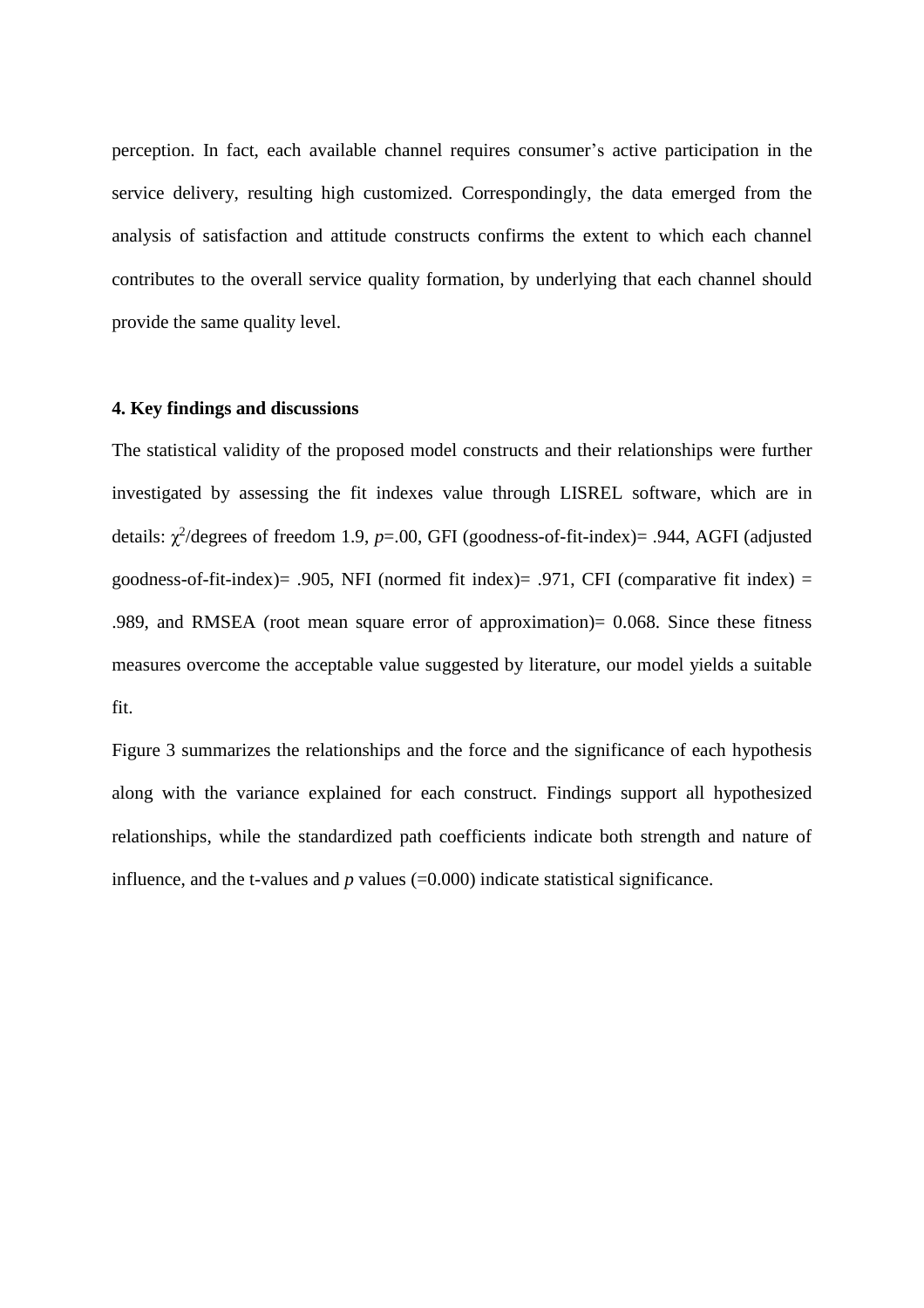perception. In fact, each available channel requires consumer's active participation in the service delivery, resulting high customized. Correspondingly, the data emerged from the analysis of satisfaction and attitude constructs confirms the extent to which each channel contributes to the overall service quality formation, by underlying that each channel should provide the same quality level.

# **4. Key findings and discussions**

The statistical validity of the proposed model constructs and their relationships were further investigated by assessing the fit indexes value through LISREL software, which are in details: χ 2 /degrees of freedom 1.9, *p*=.00, GFI (goodness-of-fit-index)= .944, AGFI (adjusted goodness-of-fit-index)= .905, NFI (normed fit index)= .971, CFI (comparative fit index) = .989, and RMSEA (root mean square error of approximation)= 0.068. Since these fitness measures overcome the acceptable value suggested by literature, our model yields a suitable fit.

Figure 3 summarizes the relationships and the force and the significance of each hypothesis along with the variance explained for each construct. Findings support all hypothesized relationships, while the standardized path coefficients indicate both strength and nature of influence, and the t-values and  $p$  values  $(=0.000)$  indicate statistical significance.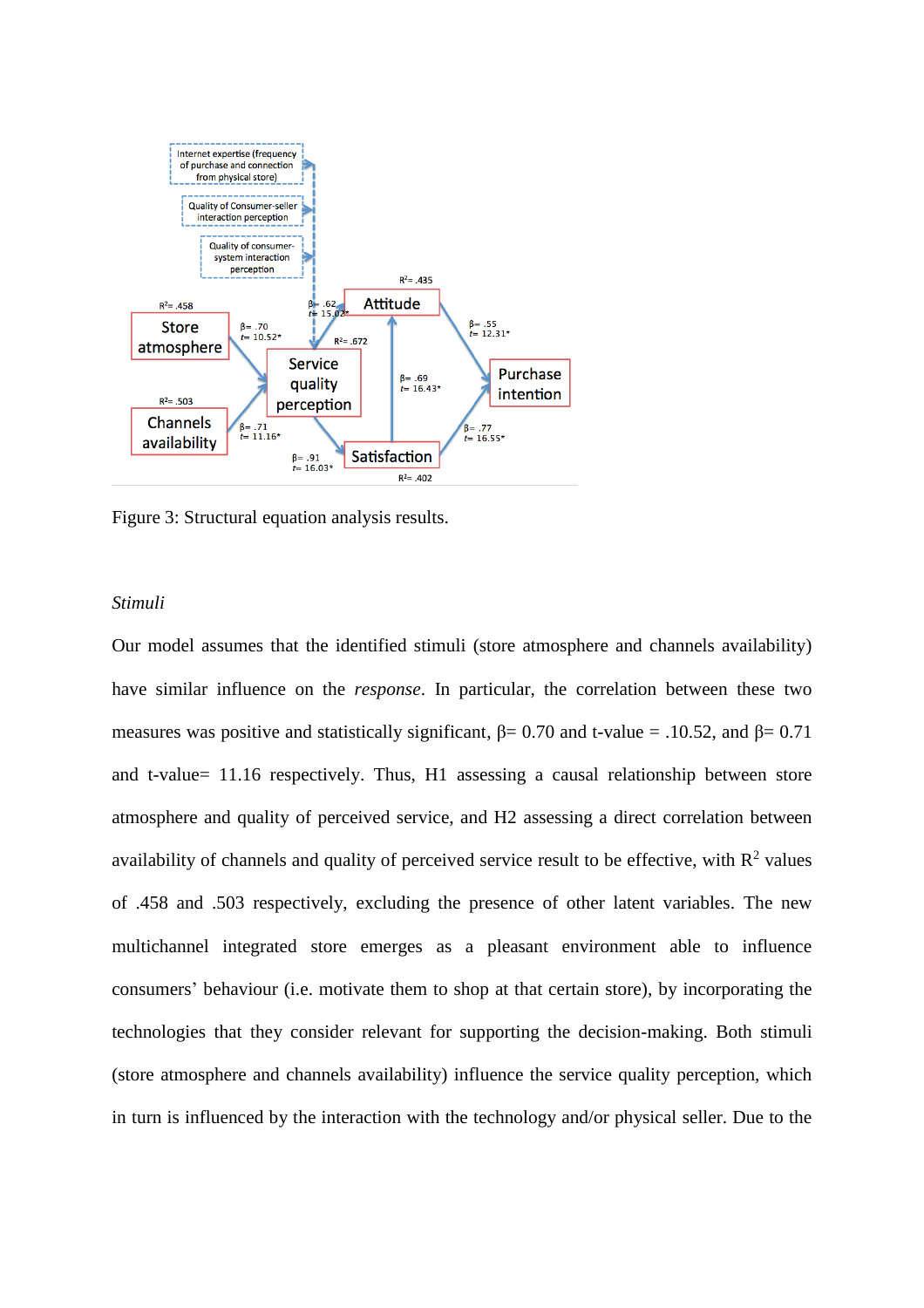

Figure 3: Structural equation analysis results.

# *Stimuli*

Our model assumes that the identified stimuli (store atmosphere and channels availability) have similar influence on the *response*. In particular, the correlation between these two measures was positive and statistically significant,  $\beta$ = 0.70 and t-value = .10.52, and  $\beta$ = 0.71 and t-value= 11.16 respectively. Thus, H1 assessing a causal relationship between store atmosphere and quality of perceived service, and H2 assessing a direct correlation between availability of channels and quality of perceived service result to be effective, with  $\mathbb{R}^2$  values of .458 and .503 respectively, excluding the presence of other latent variables. The new multichannel integrated store emerges as a pleasant environment able to influence consumers' behaviour (i.e. motivate them to shop at that certain store), by incorporating the technologies that they consider relevant for supporting the decision-making. Both stimuli (store atmosphere and channels availability) influence the service quality perception, which in turn is influenced by the interaction with the technology and/or physical seller. Due to the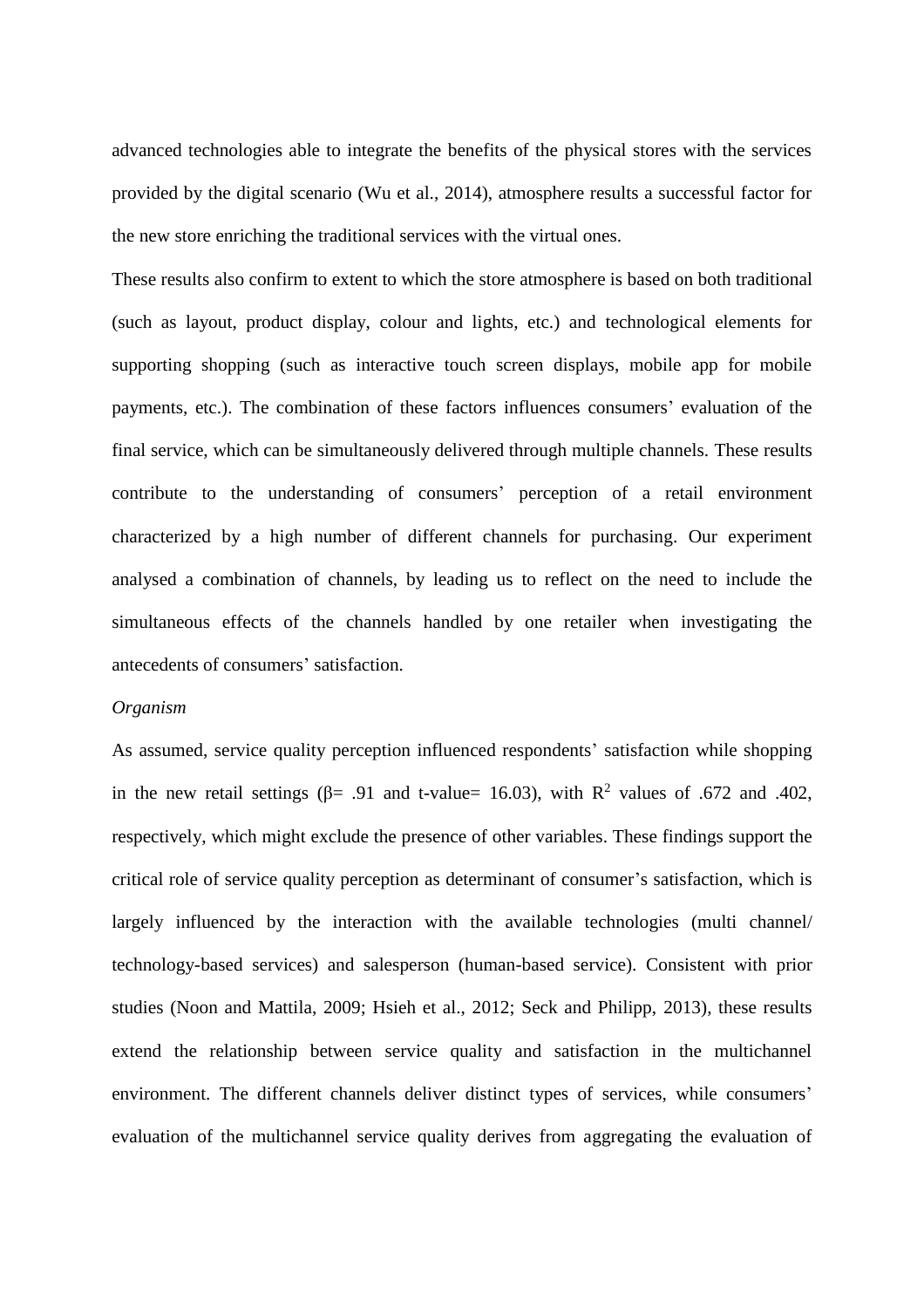advanced technologies able to integrate the benefits of the physical stores with the services provided by the digital scenario (Wu et al., 2014), atmosphere results a successful factor for the new store enriching the traditional services with the virtual ones.

These results also confirm to extent to which the store atmosphere is based on both traditional (such as layout, product display, colour and lights, etc.) and technological elements for supporting shopping (such as interactive touch screen displays, mobile app for mobile payments, etc.). The combination of these factors influences consumers' evaluation of the final service, which can be simultaneously delivered through multiple channels. These results contribute to the understanding of consumers' perception of a retail environment characterized by a high number of different channels for purchasing. Our experiment analysed a combination of channels, by leading us to reflect on the need to include the simultaneous effects of the channels handled by one retailer when investigating the antecedents of consumers' satisfaction.

# *Organism*

As assumed, service quality perception influenced respondents' satisfaction while shopping in the new retail settings ( $\beta$ = .91 and t-value= 16.03), with R<sup>2</sup> values of .672 and .402, respectively, which might exclude the presence of other variables. These findings support the critical role of service quality perception as determinant of consumer's satisfaction, which is largely influenced by the interaction with the available technologies (multi channel/ technology-based services) and salesperson (human-based service). Consistent with prior studies (Noon and Mattila, 2009; Hsieh et al., 2012; Seck and Philipp, 2013), these results extend the relationship between service quality and satisfaction in the multichannel environment. The different channels deliver distinct types of services, while consumers' evaluation of the multichannel service quality derives from aggregating the evaluation of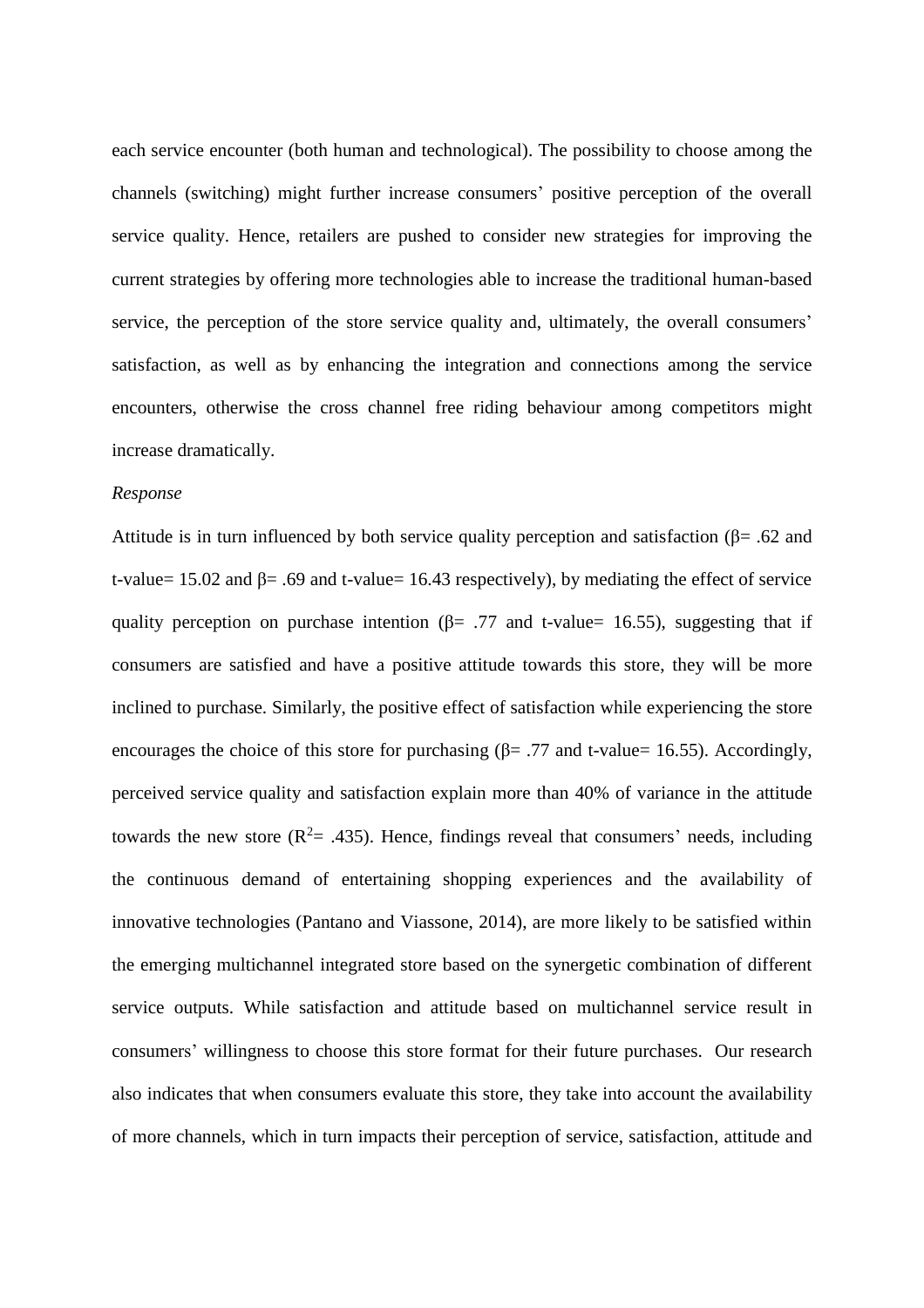each service encounter (both human and technological). The possibility to choose among the channels (switching) might further increase consumers' positive perception of the overall service quality. Hence, retailers are pushed to consider new strategies for improving the current strategies by offering more technologies able to increase the traditional human-based service, the perception of the store service quality and, ultimately, the overall consumers' satisfaction, as well as by enhancing the integration and connections among the service encounters, otherwise the cross channel free riding behaviour among competitors might increase dramatically.

# *Response*

Attitude is in turn influenced by both service quality perception and satisfaction ( $\beta$ = .62 and t-value= 15.02 and  $\beta$ = .69 and t-value= 16.43 respectively), by mediating the effect of service quality perception on purchase intention ( $\beta$ = .77 and t-value= 16.55), suggesting that if consumers are satisfied and have a positive attitude towards this store, they will be more inclined to purchase. Similarly, the positive effect of satisfaction while experiencing the store encourages the choice of this store for purchasing ( $\beta$ = .77 and t-value= 16.55). Accordingly, perceived service quality and satisfaction explain more than 40% of variance in the attitude towards the new store ( $R^2$ = .435). Hence, findings reveal that consumers' needs, including the continuous demand of entertaining shopping experiences and the availability of innovative technologies (Pantano and Viassone, 2014), are more likely to be satisfied within the emerging multichannel integrated store based on the synergetic combination of different service outputs. While satisfaction and attitude based on multichannel service result in consumers' willingness to choose this store format for their future purchases. Our research also indicates that when consumers evaluate this store, they take into account the availability of more channels, which in turn impacts their perception of service, satisfaction, attitude and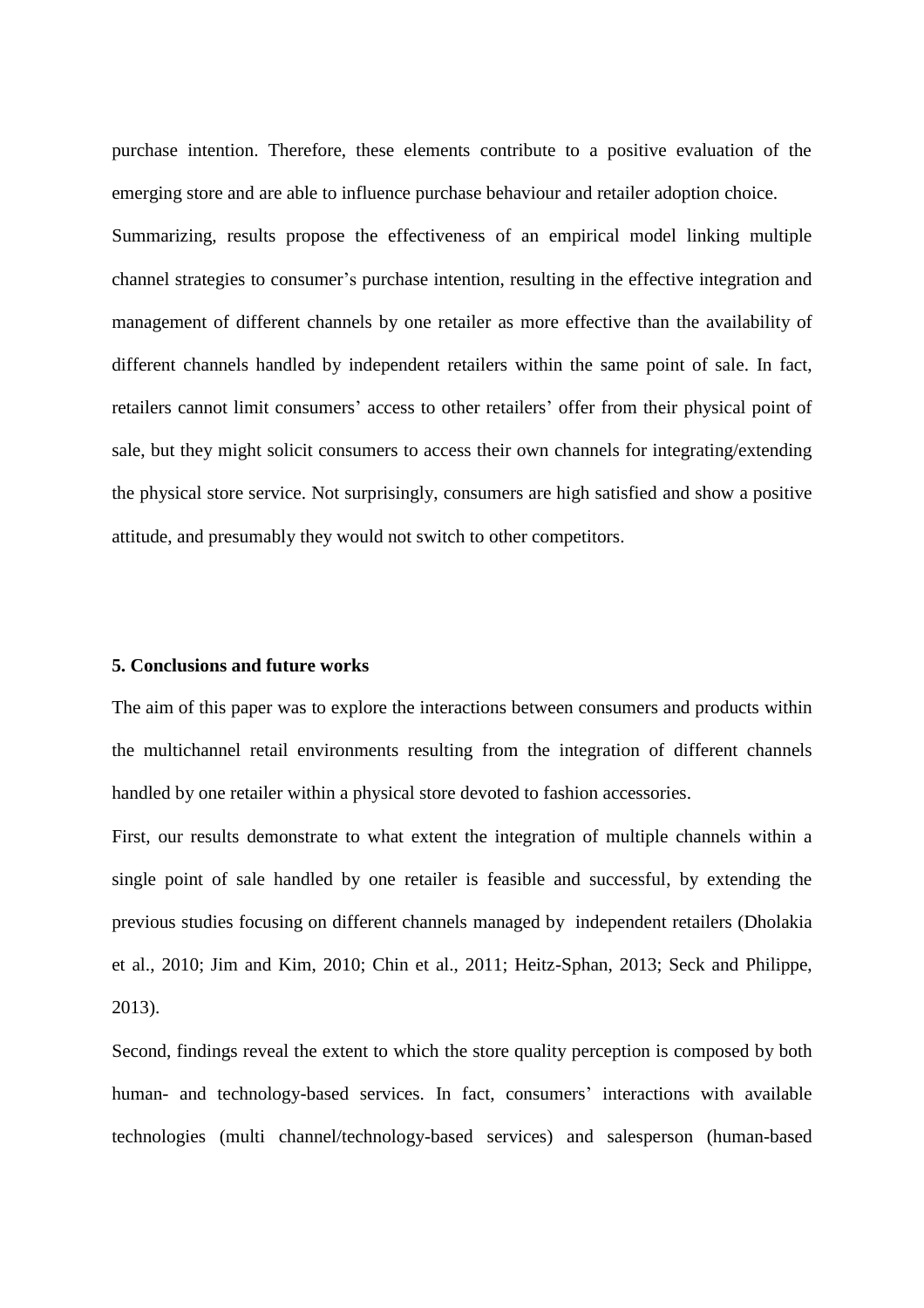purchase intention. Therefore, these elements contribute to a positive evaluation of the emerging store and are able to influence purchase behaviour and retailer adoption choice. Summarizing, results propose the effectiveness of an empirical model linking multiple channel strategies to consumer's purchase intention, resulting in the effective integration and management of different channels by one retailer as more effective than the availability of different channels handled by independent retailers within the same point of sale. In fact, retailers cannot limit consumers' access to other retailers' offer from their physical point of sale, but they might solicit consumers to access their own channels for integrating/extending the physical store service. Not surprisingly, consumers are high satisfied and show a positive attitude, and presumably they would not switch to other competitors.

## **5. Conclusions and future works**

The aim of this paper was to explore the interactions between consumers and products within the multichannel retail environments resulting from the integration of different channels handled by one retailer within a physical store devoted to fashion accessories.

First, our results demonstrate to what extent the integration of multiple channels within a single point of sale handled by one retailer is feasible and successful, by extending the previous studies focusing on different channels managed by independent retailers (Dholakia et al., 2010; Jim and Kim, 2010; Chin et al., 2011; Heitz-Sphan, 2013; Seck and Philippe, 2013).

Second, findings reveal the extent to which the store quality perception is composed by both human- and technology-based services. In fact, consumers' interactions with available technologies (multi channel/technology-based services) and salesperson (human-based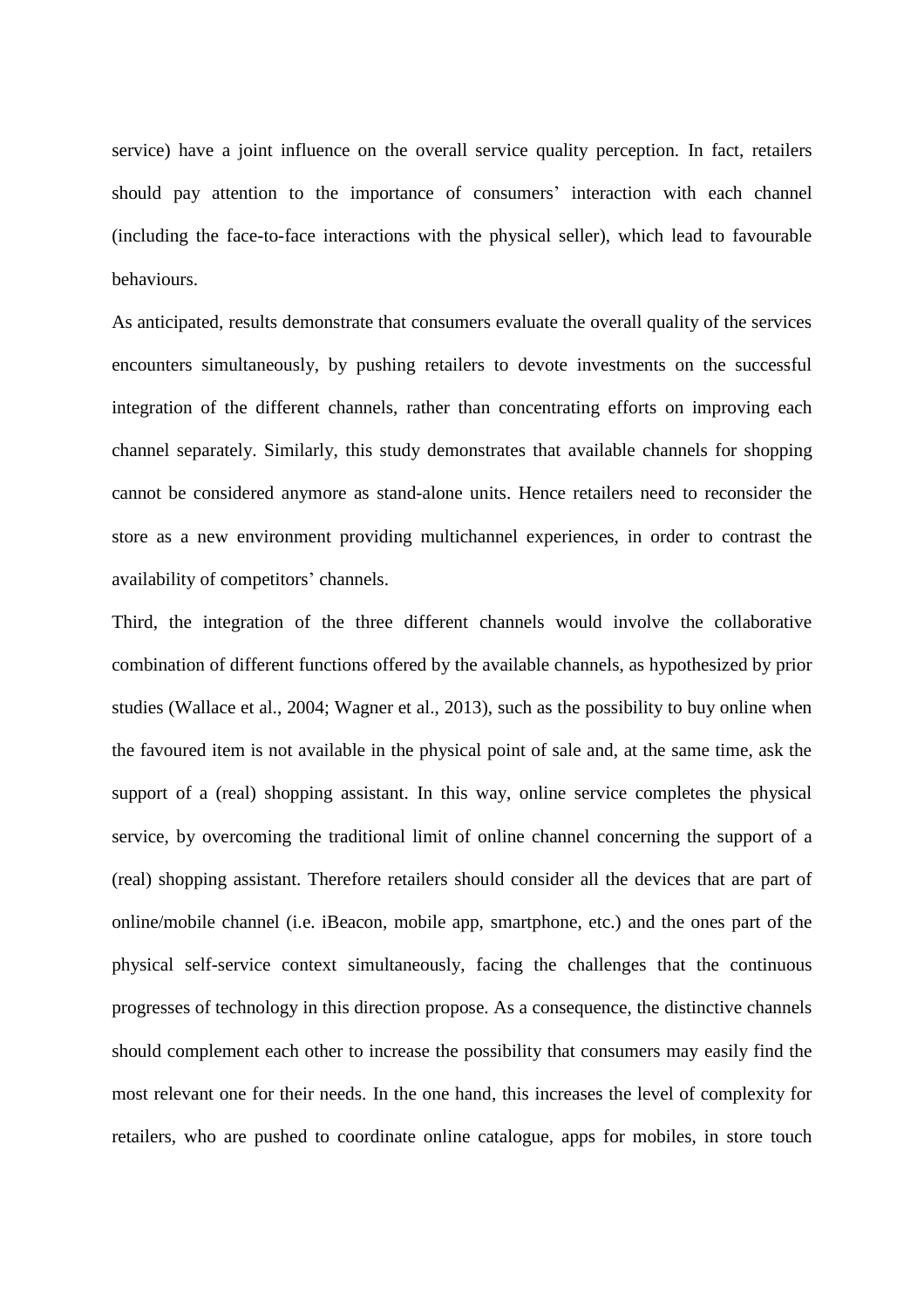service) have a joint influence on the overall service quality perception. In fact, retailers should pay attention to the importance of consumers' interaction with each channel (including the face-to-face interactions with the physical seller), which lead to favourable behaviours.

As anticipated, results demonstrate that consumers evaluate the overall quality of the services encounters simultaneously, by pushing retailers to devote investments on the successful integration of the different channels, rather than concentrating efforts on improving each channel separately. Similarly, this study demonstrates that available channels for shopping cannot be considered anymore as stand-alone units. Hence retailers need to reconsider the store as a new environment providing multichannel experiences, in order to contrast the availability of competitors' channels.

Third, the integration of the three different channels would involve the collaborative combination of different functions offered by the available channels, as hypothesized by prior studies (Wallace et al., 2004; Wagner et al., 2013), such as the possibility to buy online when the favoured item is not available in the physical point of sale and, at the same time, ask the support of a (real) shopping assistant. In this way, online service completes the physical service, by overcoming the traditional limit of online channel concerning the support of a (real) shopping assistant. Therefore retailers should consider all the devices that are part of online/mobile channel (i.e. iBeacon, mobile app, smartphone, etc.) and the ones part of the physical self-service context simultaneously, facing the challenges that the continuous progresses of technology in this direction propose. As a consequence, the distinctive channels should complement each other to increase the possibility that consumers may easily find the most relevant one for their needs. In the one hand, this increases the level of complexity for retailers, who are pushed to coordinate online catalogue, apps for mobiles, in store touch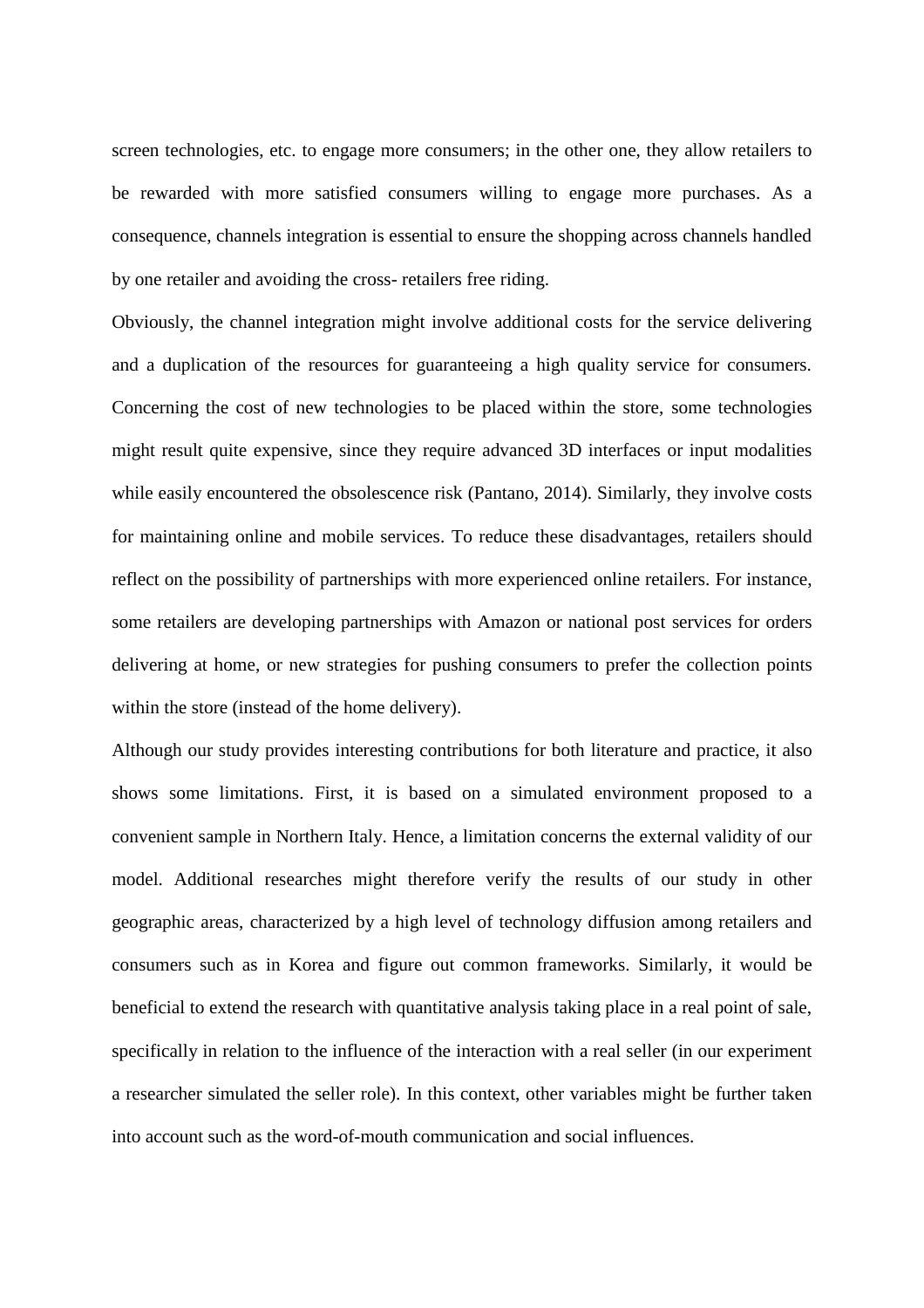screen technologies, etc. to engage more consumers; in the other one, they allow retailers to be rewarded with more satisfied consumers willing to engage more purchases. As a consequence, channels integration is essential to ensure the shopping across channels handled by one retailer and avoiding the cross- retailers free riding.

Obviously, the channel integration might involve additional costs for the service delivering and a duplication of the resources for guaranteeing a high quality service for consumers. Concerning the cost of new technologies to be placed within the store, some technologies might result quite expensive, since they require advanced 3D interfaces or input modalities while easily encountered the obsolescence risk (Pantano, 2014). Similarly, they involve costs for maintaining online and mobile services. To reduce these disadvantages, retailers should reflect on the possibility of partnerships with more experienced online retailers. For instance, some retailers are developing partnerships with Amazon or national post services for orders delivering at home, or new strategies for pushing consumers to prefer the collection points within the store (instead of the home delivery).

Although our study provides interesting contributions for both literature and practice, it also shows some limitations. First, it is based on a simulated environment proposed to a convenient sample in Northern Italy. Hence, a limitation concerns the external validity of our model. Additional researches might therefore verify the results of our study in other geographic areas, characterized by a high level of technology diffusion among retailers and consumers such as in Korea and figure out common frameworks. Similarly, it would be beneficial to extend the research with quantitative analysis taking place in a real point of sale, specifically in relation to the influence of the interaction with a real seller (in our experiment a researcher simulated the seller role). In this context, other variables might be further taken into account such as the word-of-mouth communication and social influences.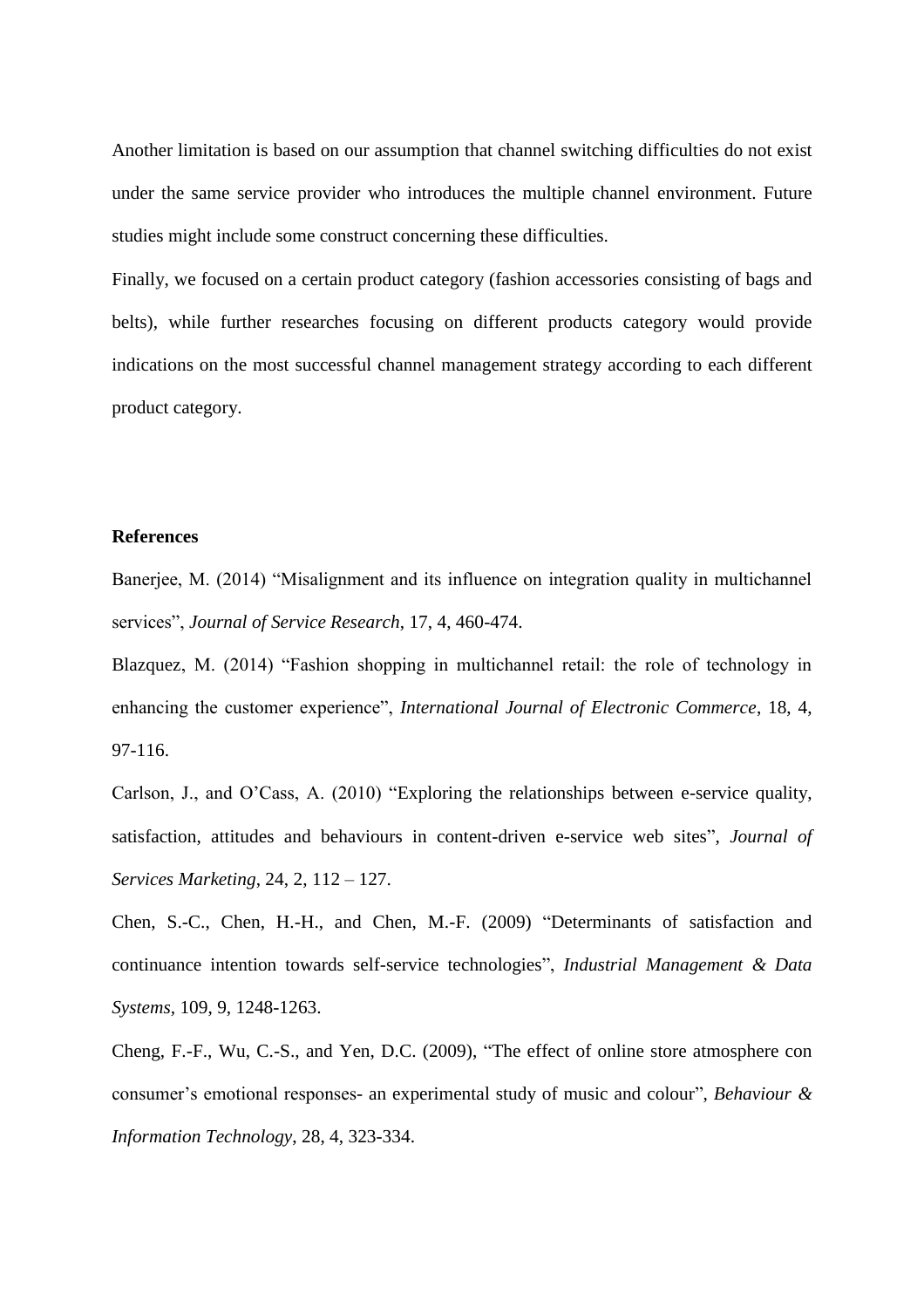Another limitation is based on our assumption that channel switching difficulties do not exist under the same service provider who introduces the multiple channel environment. Future studies might include some construct concerning these difficulties.

Finally, we focused on a certain product category (fashion accessories consisting of bags and belts), while further researches focusing on different products category would provide indications on the most successful channel management strategy according to each different product category.

# **References**

Banerjee, M. (2014) "Misalignment and its influence on integration quality in multichannel services", *Journal of Service Research*, 17, 4, 460-474.

Blazquez, M. (2014) "Fashion shopping in multichannel retail: the role of technology in enhancing the customer experience", *International Journal of Electronic Commerce*, 18, 4, 97-116.

Carlson, J., and O'Cass, A. (2010) "Exploring the relationships between e-service quality, satisfaction, attitudes and behaviours in content-driven e-service web sites", *Journal of Services Marketing*, 24, 2, 112 – 127.

Chen, S.-C., Chen, H.-H., and Chen, M.-F. (2009) "Determinants of satisfaction and continuance intention towards self-service technologies", *Industrial Management & Data Systems,* 109, 9, 1248-1263.

Cheng, F.-F., Wu, C.-S., and Yen, D.C. (2009), "The effect of online store atmosphere con consumer's emotional responses- an experimental study of music and colour", *Behaviour & Information Technology*, 28, 4, 323-334.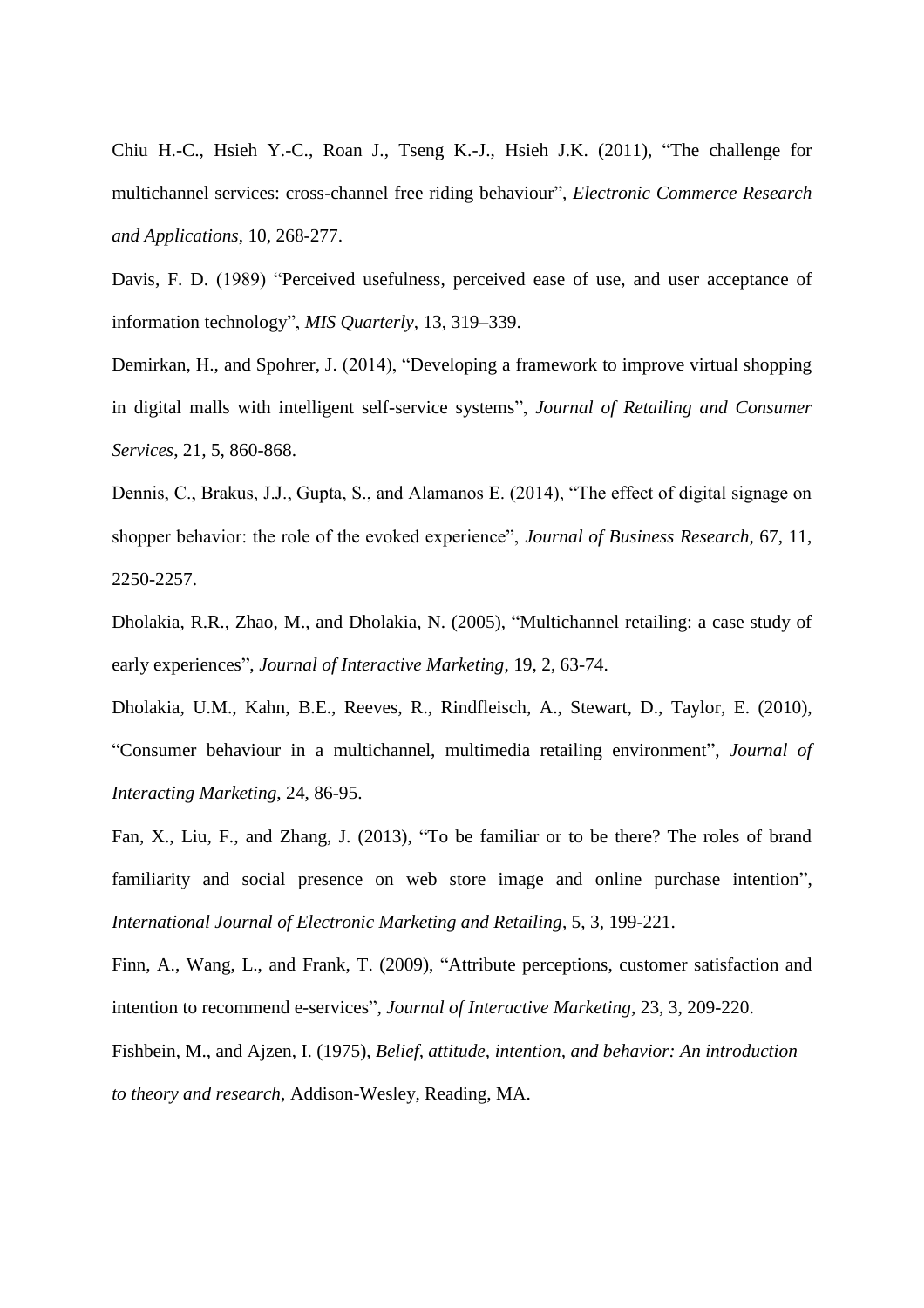Chiu H.-C., Hsieh Y.-C., Roan J., Tseng K.-J., Hsieh J.K. (2011), "The challenge for multichannel services: cross-channel free riding behaviour", *Electronic Commerce Research and Applications*, 10, 268-277.

Davis, F. D. (1989) "Perceived usefulness, perceived ease of use, and user acceptance of information technology", *MIS Quarterly*, 13, 319–339.

Demirkan, H., and Spohrer, J. (2014), "Developing a framework to improve virtual shopping in digital malls with intelligent self-service systems", *Journal of Retailing and Consumer Services*, 21*,* 5, 860-868.

Dennis, C., Brakus, J.J., Gupta, S., and Alamanos E. (2014), "The effect of digital signage on shopper behavior: the role of the evoked experience", *Journal of Business Research*, 67, 11, 2250-2257.

Dholakia, R.R., Zhao, M., and Dholakia, N. (2005), "Multichannel retailing: a case study of early experiences", *Journal of Interactive Marketing*, 19, 2, 63-74.

Dholakia, U.M., Kahn, B.E., Reeves, R., Rindfleisch, A., Stewart, D., Taylor, E. (2010), "Consumer behaviour in a multichannel, multimedia retailing environment", *Journal of Interacting Marketing*, 24, 86-95.

Fan, X., Liu, F., and Zhang, J. (2013), "To be familiar or to be there? The roles of brand familiarity and social presence on web store image and online purchase intention", *International Journal of Electronic Marketing and Retailing*, 5, 3, 199-221.

Finn, A., Wang, L., and Frank, T. (2009), "Attribute perceptions, customer satisfaction and intention to recommend e-services", *Journal of Interactive Marketing*, 23, 3, 209-220.

Fishbein, M., and Ajzen, I. (1975), *Belief, attitude, intention, and behavior: An introduction to theory and research*, Addison-Wesley, Reading, MA.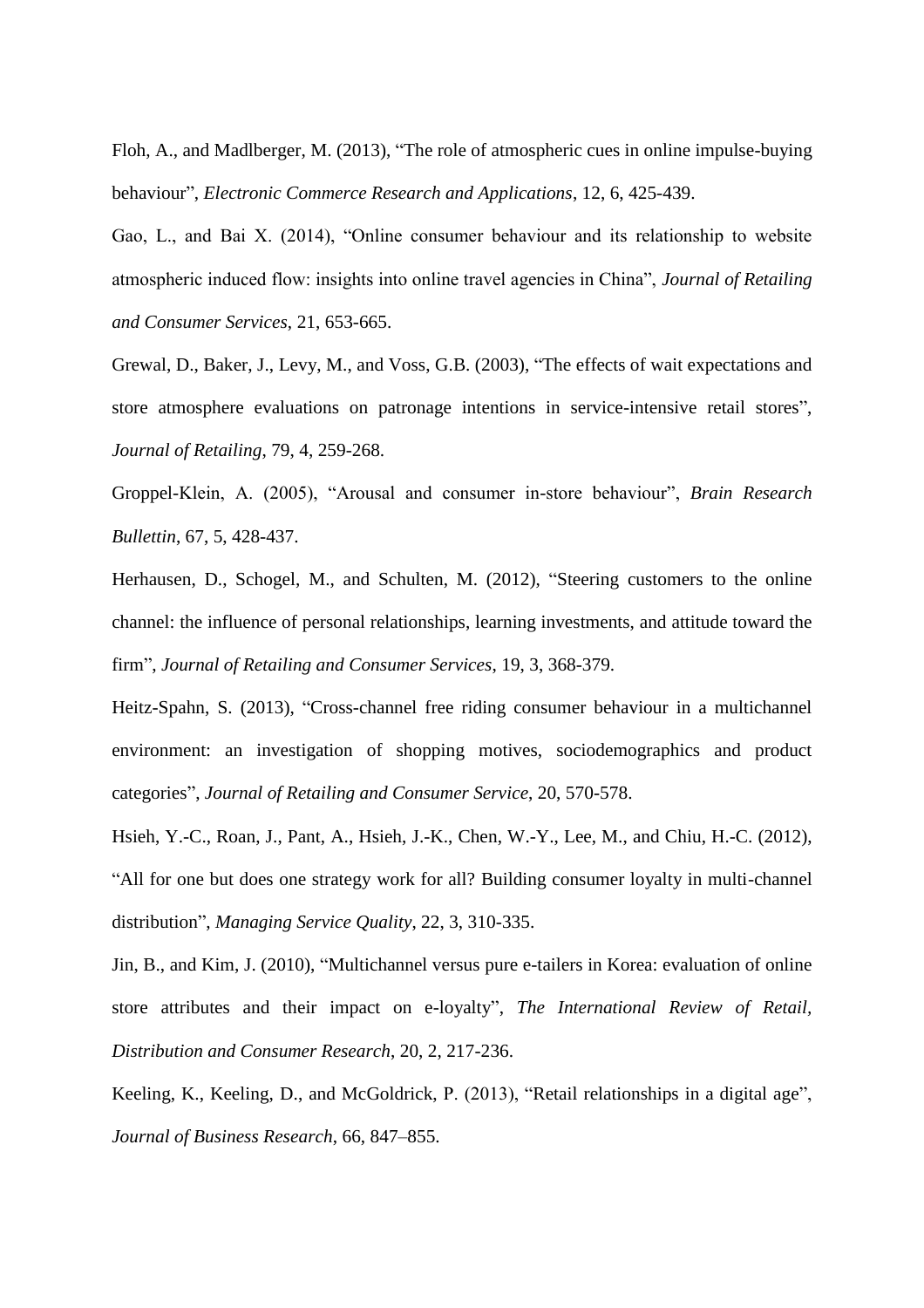Floh, A., and Madlberger, M. (2013), "The role of atmospheric cues in online impulse-buying behaviour", *Electronic Commerce Research and Applications*, 12, 6, 425-439.

Gao, L., and Bai X. (2014), "Online consumer behaviour and its relationship to website atmospheric induced flow: insights into online travel agencies in China", *Journal of Retailing and Consumer Services*, 21, 653-665.

Grewal, D., Baker, J., Levy, M., and Voss, G.B. (2003), "The effects of wait expectations and store atmosphere evaluations on patronage intentions in service-intensive retail stores", *Journal of Retailing*, 79, 4, 259-268.

Groppel-Klein, A. (2005), "Arousal and consumer in-store behaviour", *Brain Research Bullettin*, 67, 5, 428-437.

Herhausen, D., Schogel, M., and Schulten, M. (2012), "Steering customers to the online channel: the influence of personal relationships, learning investments, and attitude toward the firm", *Journal of Retailing and Consumer Services*, 19, 3, 368-379.

Heitz-Spahn, S. (2013), "Cross-channel free riding consumer behaviour in a multichannel environment: an investigation of shopping motives, sociodemographics and product categories", *Journal of Retailing and Consumer Service*, 20, 570-578.

Hsieh, Y.-C., Roan, J., Pant, A., Hsieh, J.-K., Chen, W.-Y., Lee, M., and Chiu, H.-C. (2012), "All for one but does one strategy work for all? Building consumer loyalty in multi-channel distribution", *Managing Service Quality*, 22, 3, 310-335.

Jin, B., and Kim, J. (2010), "Multichannel versus pure e-tailers in Korea: evaluation of online store attributes and their impact on e-loyalty", *The International Review of Retail, Distribution and Consumer Research*, 20, 2, 217-236.

Keeling, K., Keeling, D., and McGoldrick, P. (2013), "Retail relationships in a digital age", *Journal of Business Research*, 66, 847–855.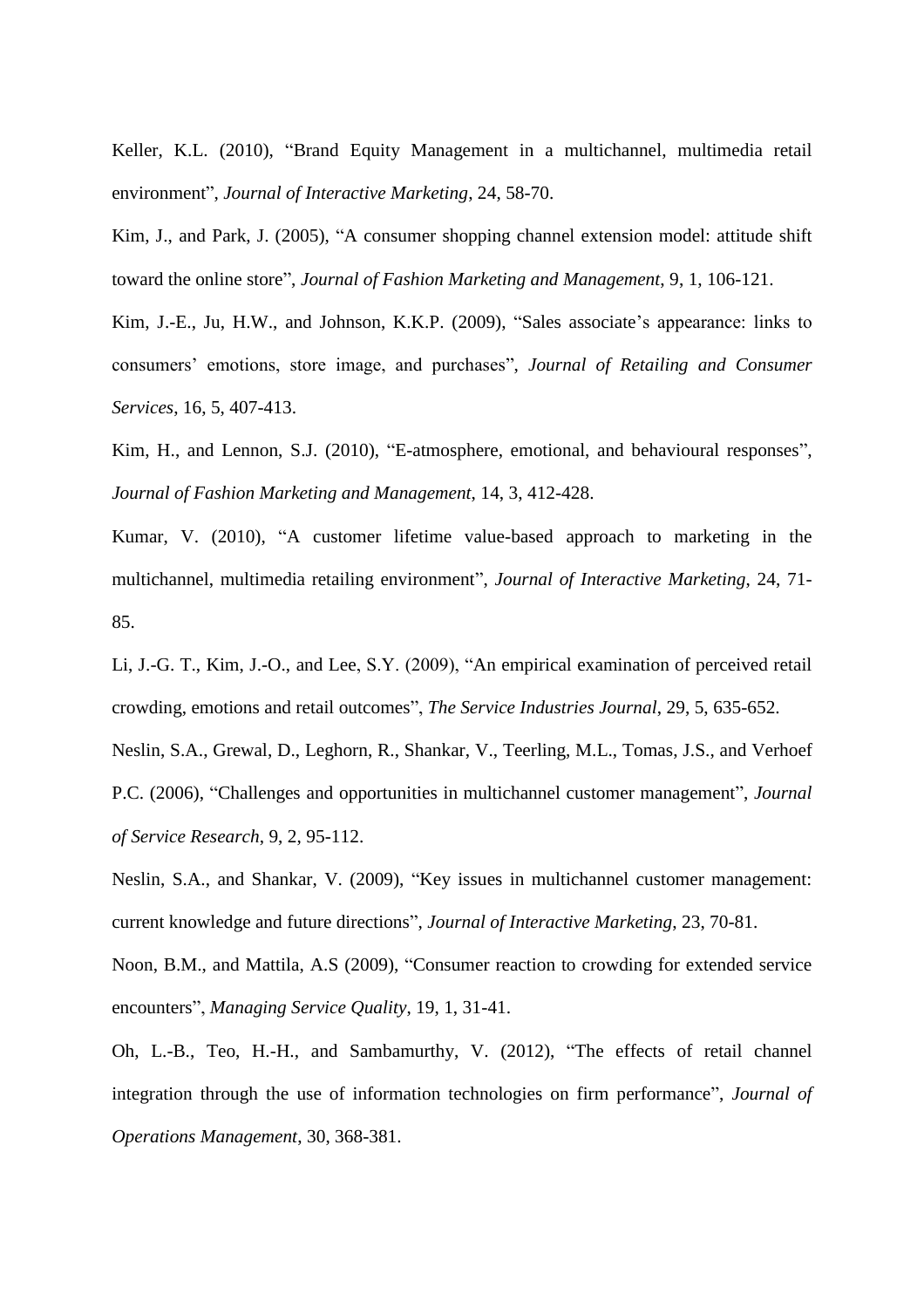Keller, K.L. (2010), "Brand Equity Management in a multichannel, multimedia retail environment", *Journal of Interactive Marketing*, 24, 58-70.

Kim, J., and Park, J. (2005), "A consumer shopping channel extension model: attitude shift toward the online store", *Journal of Fashion Marketing and Management*, 9, 1, 106-121.

Kim, J.-E., Ju, H.W., and Johnson, K.K.P. (2009), "Sales associate's appearance: links to consumers' emotions, store image, and purchases", *Journal of Retailing and Consumer Services*, 16, 5, 407-413.

Kim, H., and Lennon, S.J. (2010), "E-atmosphere, emotional, and behavioural responses", *Journal of Fashion Marketing and Management*, 14, 3, 412-428.

Kumar, V. (2010), "A customer lifetime value-based approach to marketing in the multichannel, multimedia retailing environment", *Journal of Interactive Marketing*, 24, 71- 85.

Li, J.-G. T., Kim, J.-O., and Lee, S.Y. (2009), "An empirical examination of perceived retail crowding, emotions and retail outcomes", *The Service Industries Journal*, 29, 5, 635-652.

Neslin, S.A., Grewal, D., Leghorn, R., Shankar, V., Teerling, M.L., Tomas, J.S., and Verhoef

P.C. (2006), "Challenges and opportunities in multichannel customer management", *Journal of Service Research*, 9, 2, 95-112.

Neslin, S.A., and Shankar, V. (2009), "Key issues in multichannel customer management: current knowledge and future directions", *Journal of Interactive Marketing*, 23, 70-81.

Noon, B.M., and Mattila, A.S (2009), "Consumer reaction to crowding for extended service encounters", *Managing Service Quality*, 19, 1, 31-41.

Oh, L.-B., Teo, H.-H., and Sambamurthy, V. (2012), "The effects of retail channel integration through the use of information technologies on firm performance", *Journal of Operations Management*, 30, 368-381.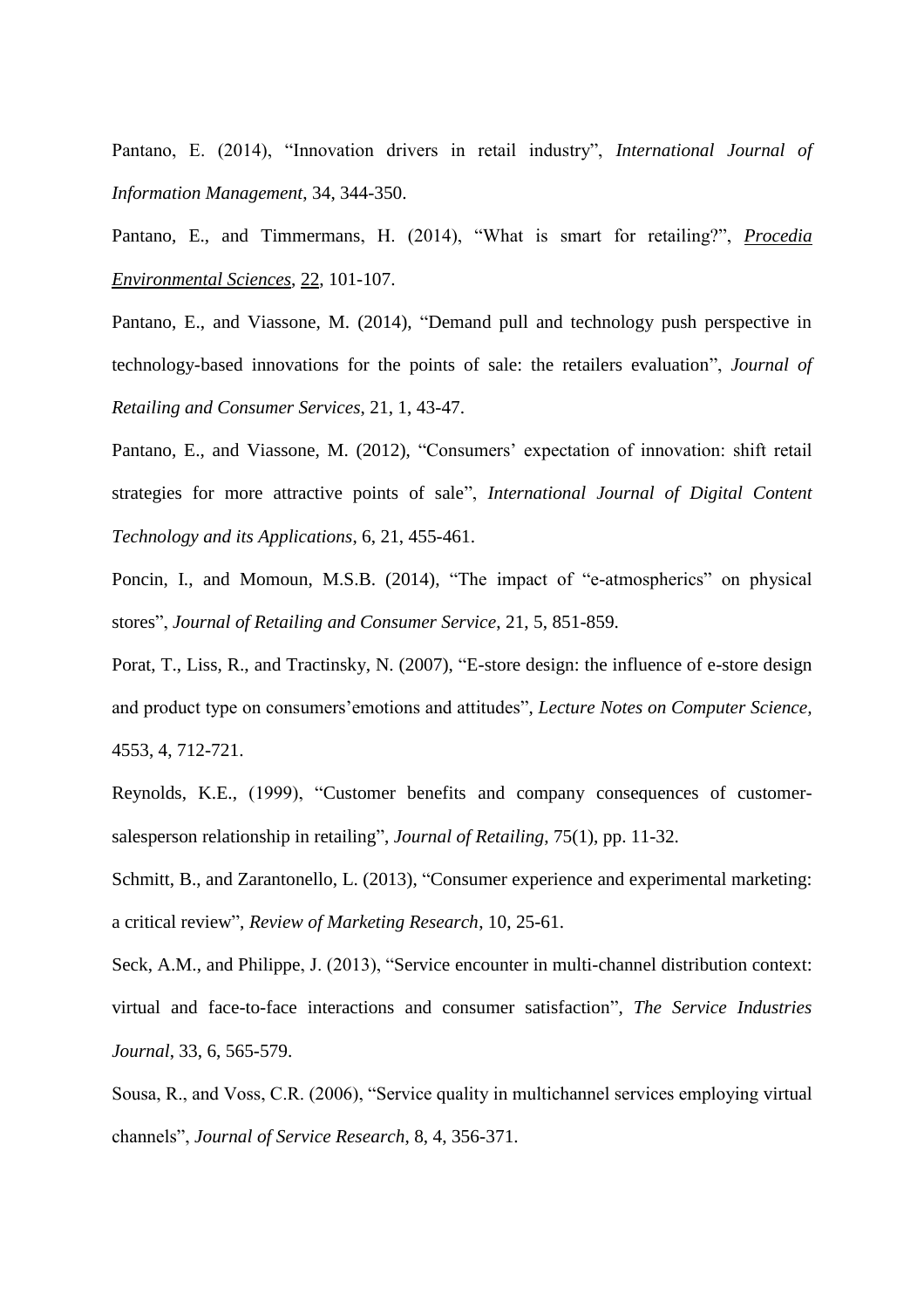Pantano, E. (2014), "Innovation drivers in retail industry", *International Journal of Information Management*, 34, 344-350.

Pantano, E., and Timmermans, H. (2014), "What is smart for retailing?", *Procedia Environmental Sciences*, 22, 101-107.

Pantano, E., and Viassone, M. (2014), "Demand pull and technology push perspective in technology-based innovations for the points of sale: the retailers evaluation", *Journal of Retailing and Consumer Services*, 21, 1, 43-47.

Pantano, E., and Viassone, M. (2012), "Consumers' expectation of innovation: shift retail strategies for more attractive points of sale", *International Journal of Digital Content Technology and its Applications*, 6, 21, 455-461.

Poncin, I., and Momoun, M.S.B. (2014), "The impact of "e-atmospherics" on physical stores", *Journal of Retailing and Consumer Service*, 21, 5, 851-859.

Porat, T., Liss, R., and Tractinsky, N. (2007), "E-store design: the influence of e-store design and product type on consumers'emotions and attitudes", *Lecture Notes on Computer Science,* 4553, 4, 712-721.

Reynolds, K.E., (1999), "Customer benefits and company consequences of customersalesperson relationship in retailing", *Journal of Retailing*, 75(1), pp. 11-32.

Schmitt, B., and Zarantonello, L. (2013), "Consumer experience and experimental marketing: a critical review", *Review of Marketing Research*, 10, 25-61.

Seck, A.M., and Philippe, J. (2013), "Service encounter in multi-channel distribution context: virtual and face-to-face interactions and consumer satisfaction", *The Service Industries Journal*, 33, 6, 565-579.

Sousa, R., and Voss, C.R. (2006), "Service quality in multichannel services employing virtual channels", *Journal of Service Research*, 8, 4, 356-371.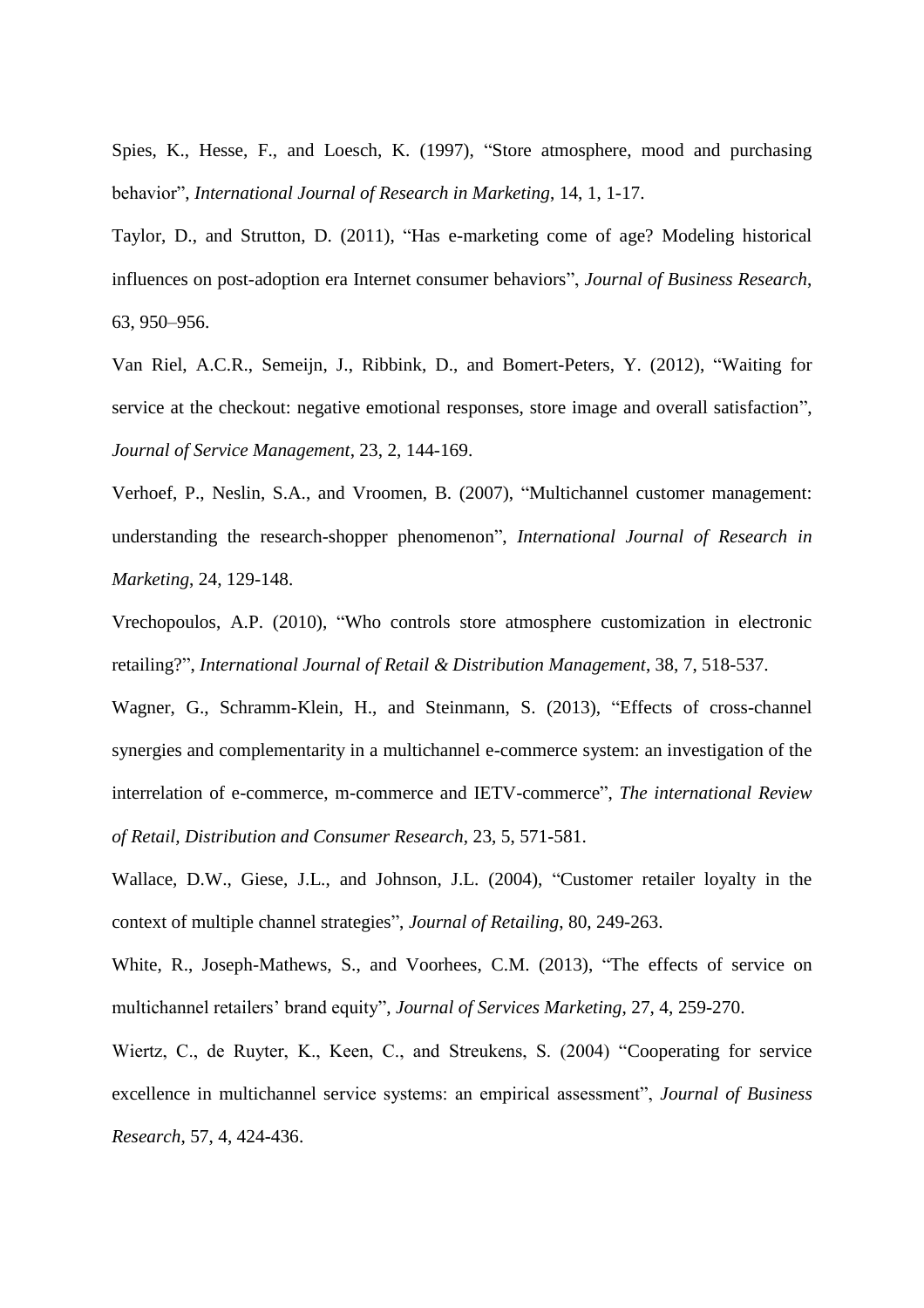Spies, K., Hesse, F., and Loesch, K. (1997), "Store atmosphere, mood and purchasing behavior", *International Journal of Research in Marketing*, 14, 1, 1-17.

Taylor, D., and Strutton, D. (2011), "Has e-marketing come of age? Modeling historical influences on post-adoption era Internet consumer behaviors", *Journal of Business Research*, 63, 950–956.

Van Riel, A.C.R., Semeijn, J., Ribbink, D., and Bomert-Peters, Y. (2012), "Waiting for service at the checkout: negative emotional responses, store image and overall satisfaction", *Journal of Service Management*, 23, 2, 144-169.

Verhoef, P., Neslin, S.A., and Vroomen, B. (2007), "Multichannel customer management: understanding the research-shopper phenomenon", *International Journal of Research in Marketing*, 24, 129-148.

Vrechopoulos, A.P. (2010), "Who controls store atmosphere customization in electronic retailing?", *International Journal of Retail & Distribution Management*, 38, 7, 518-537.

Wagner, G., Schramm-Klein, H., and Steinmann, S. (2013), "Effects of cross-channel synergies and complementarity in a multichannel e-commerce system: an investigation of the interrelation of e-commerce, m-commerce and IETV-commerce", *The international Review of Retail, Distribution and Consumer Research*, 23, 5, 571-581.

Wallace, D.W., Giese, J.L., and Johnson, J.L. (2004), "Customer retailer loyalty in the context of multiple channel strategies", *Journal of Retailing*, 80, 249-263.

White, R., Joseph-Mathews, S., and Voorhees, C.M. (2013), "The effects of service on multichannel retailers' brand equity", *Journal of Services Marketing*, 27, 4, 259-270.

Wiertz, C., de Ruyter, K., Keen, C., and Streukens, S. (2004) "Cooperating for service excellence in multichannel service systems: an empirical assessment", *Journal of Business Research*, 57, 4, 424-436.